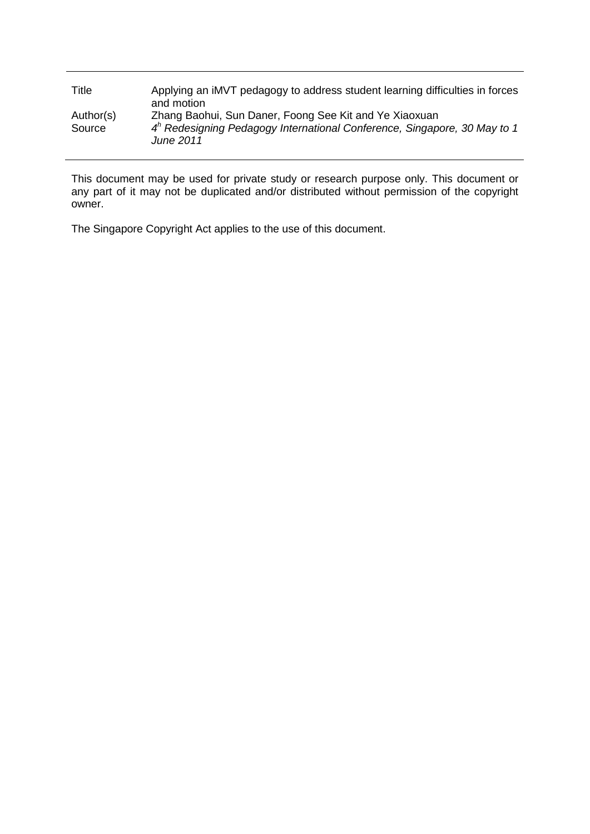| Title               | Applying an iMVT pedagogy to address student learning difficulties in forces<br>and motion                                                        |
|---------------------|---------------------------------------------------------------------------------------------------------------------------------------------------|
| Author(s)<br>Source | Zhang Baohui, Sun Daner, Foong See Kit and Ye Xiaoxuan<br>$4n$ Redesigning Pedagogy International Conference, Singapore, 30 May to 1<br>June 2011 |

This document may be used for private study or research purpose only. This document or any part of it may not be duplicated and/or distributed without permission of the copyright owner.

The Singapore Copyright Act applies to the use of this document.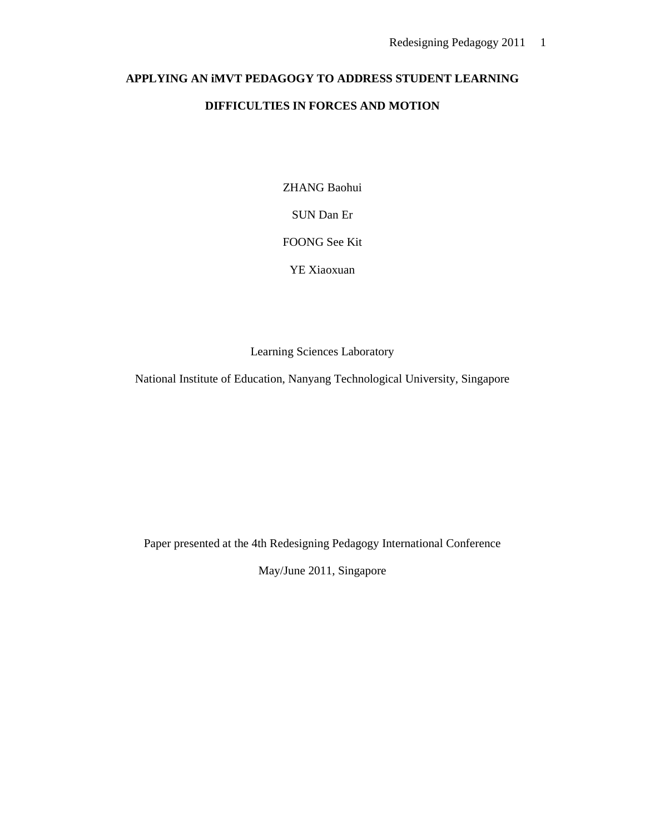# **APPLYING AN iMVT PEDAGOGY TO ADDRESS STUDENT LEARNING DIFFICULTIES IN FORCES AND MOTION**

ZHANG Baohui

SUN Dan Er

FOONG See Kit

YE Xiaoxuan

Learning Sciences Laboratory

National Institute of Education, Nanyang Technological University, Singapore

Paper presented at the 4th Redesigning Pedagogy International Conference

May/June 2011, Singapore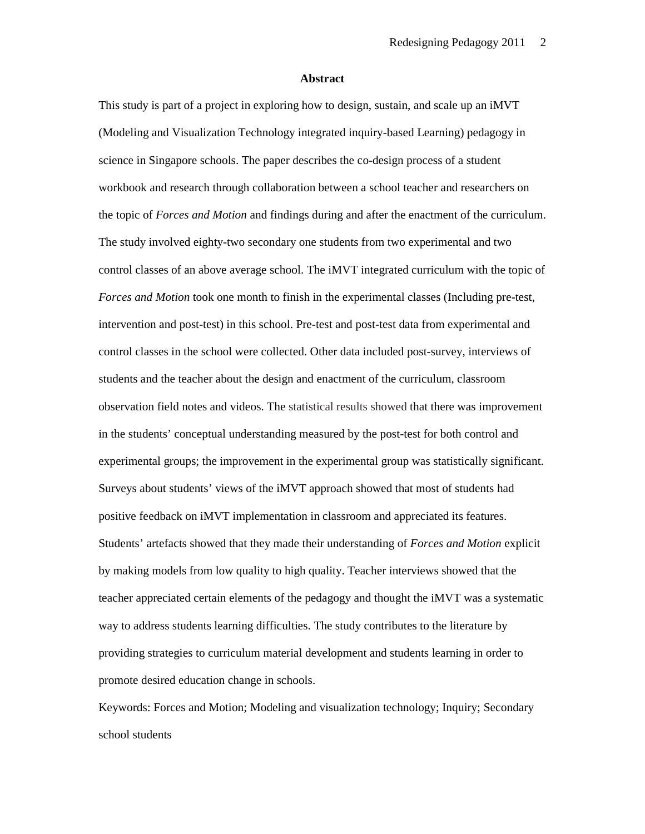#### **Abstract**

This study is part of a project in exploring how to design, sustain, and scale up an iMVT (Modeling and Visualization Technology integrated inquiry-based Learning) pedagogy in science in Singapore schools. The paper describes the co-design process of a student workbook and research through collaboration between a school teacher and researchers on the topic of *Forces and Motion* and findings during and after the enactment of the curriculum. The study involved eighty-two secondary one students from two experimental and two control classes of an above average school. The iMVT integrated curriculum with the topic of *Forces and Motion* took one month to finish in the experimental classes (Including pre-test, intervention and post-test) in this school. Pre-test and post-test data from experimental and control classes in the school were collected. Other data included post-survey, interviews of students and the teacher about the design and enactment of the curriculum, classroom observation field notes and videos. The statistical results showed that there was improvement in the students' conceptual understanding measured by the post-test for both control and experimental groups; the improvement in the experimental group was statistically significant. Surveys about students' views of the iMVT approach showed that most of students had positive feedback on iMVT implementation in classroom and appreciated its features. Students' artefacts showed that they made their understanding of *Forces and Motion* explicit by making models from low quality to high quality. Teacher interviews showed that the teacher appreciated certain elements of the pedagogy and thought the iMVT was a systematic way to address students learning difficulties. The study contributes to the literature by providing strategies to curriculum material development and students learning in order to promote desired education change in schools.

Keywords: Forces and Motion; Modeling and visualization technology; Inquiry; Secondary school students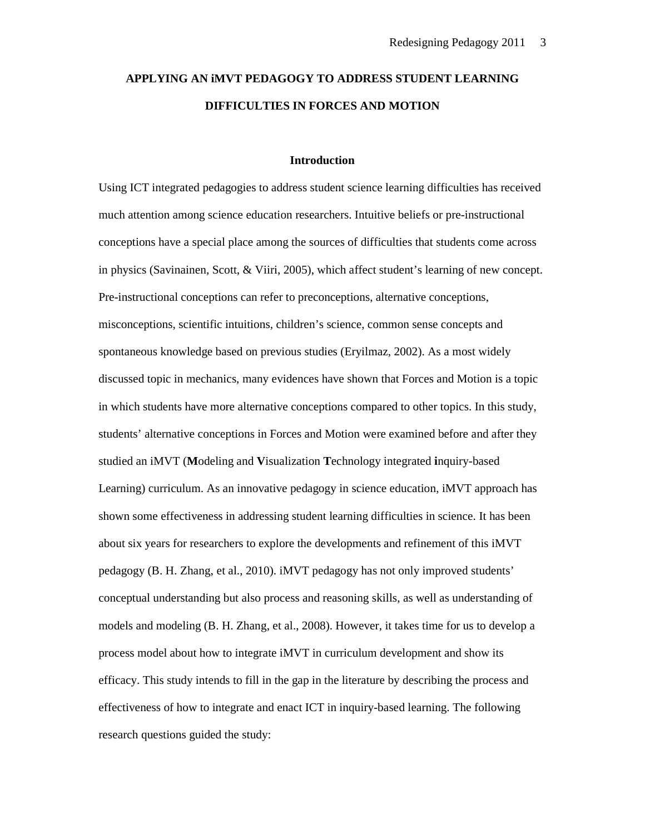# **APPLYING AN iMVT PEDAGOGY TO ADDRESS STUDENT LEARNING DIFFICULTIES IN FORCES AND MOTION**

#### **Introduction**

Using ICT integrated pedagogies to address student science learning difficulties has received much attention among science education researchers. Intuitive beliefs or pre-instructional conceptions have a special place among the sources of difficulties that students come across in physics (Savinainen, Scott, & Viiri, 2005), which affect student's learning of new concept. Pre-instructional conceptions can refer to preconceptions, alternative conceptions, misconceptions, scientific intuitions, children's science, common sense concepts and spontaneous knowledge based on previous studies (Eryilmaz, 2002). As a most widely discussed topic in mechanics, many evidences have shown that Forces and Motion is a topic in which students have more alternative conceptions compared to other topics. In this study, students' alternative conceptions in Forces and Motion were examined before and after they studied an iMVT (**M**odeling and **V**isualization **T**echnology integrated **i**nquiry-based Learning) curriculum. As an innovative pedagogy in science education, iMVT approach has shown some effectiveness in addressing student learning difficulties in science. It has been about six years for researchers to explore the developments and refinement of this iMVT pedagogy (B. H. Zhang, et al., 2010). iMVT pedagogy has not only improved students' conceptual understanding but also process and reasoning skills, as well as understanding of models and modeling (B. H. Zhang, et al., 2008). However, it takes time for us to develop a process model about how to integrate iMVT in curriculum development and show its efficacy. This study intends to fill in the gap in the literature by describing the process and effectiveness of how to integrate and enact ICT in inquiry-based learning. The following research questions guided the study: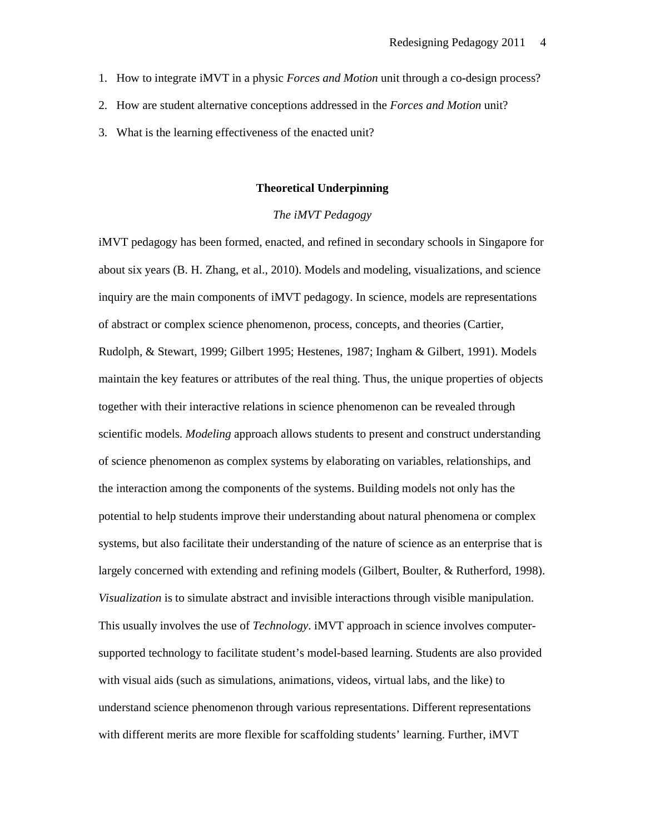- 1. How to integrate iMVT in a physic *Forces and Motion* unit through a co-design process?
- 2. How are student alternative conceptions addressed in the *Forces and Motion* unit?
- 3. What is the learning effectiveness of the enacted unit?

### **Theoretical Underpinning**

# *The iMVT Pedagogy*

iMVT pedagogy has been formed, enacted, and refined in secondary schools in Singapore for about six years (B. H. Zhang, et al., 2010). Models and modeling, visualizations, and science inquiry are the main components of iMVT pedagogy. In science, models are representations of abstract or complex science phenomenon, process, concepts, and theories (Cartier, Rudolph, & Stewart, 1999; Gilbert 1995; Hestenes, 1987; Ingham & Gilbert, 1991). Models maintain the key features or attributes of the real thing. Thus, the unique properties of objects together with their interactive relations in science phenomenon can be revealed through scientific models. *Modeling* approach allows students to present and construct understanding of science phenomenon as complex systems by elaborating on variables, relationships, and the interaction among the components of the systems. Building models not only has the potential to help students improve their understanding about natural phenomena or complex systems, but also facilitate their understanding of the nature of science as an enterprise that is largely concerned with extending and refining models (Gilbert, Boulter, & Rutherford, 1998). *Visualization* is to simulate abstract and invisible interactions through visible manipulation. This usually involves the use of *Technology*. iMVT approach in science involves computersupported technology to facilitate student's model-based learning. Students are also provided with visual aids (such as simulations, animations, videos, virtual labs, and the like) to understand science phenomenon through various representations. Different representations with different merits are more flexible for scaffolding students' learning. Further, iMVT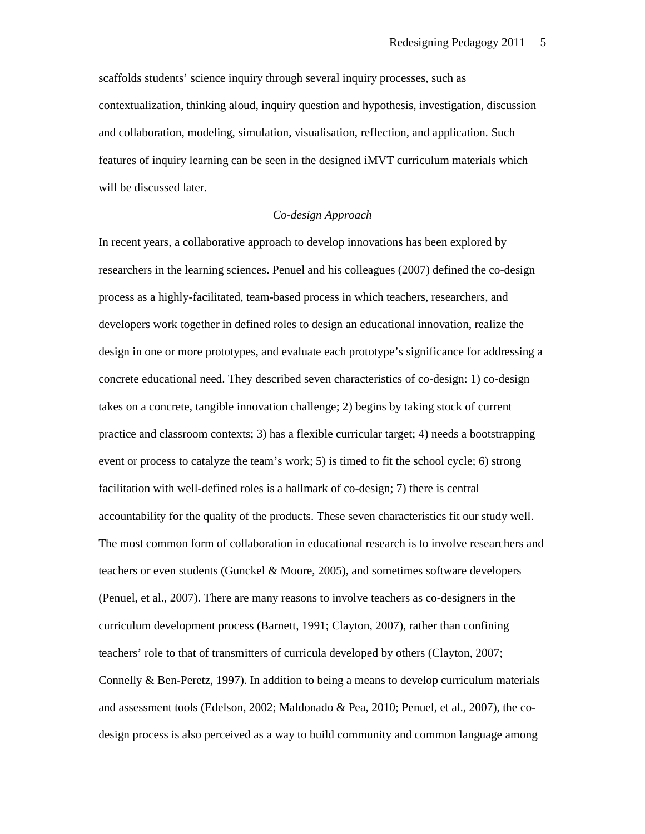scaffolds students' science inquiry through several inquiry processes, such as contextualization, thinking aloud, inquiry question and hypothesis, investigation, discussion and collaboration, modeling, simulation, visualisation, reflection, and application. Such features of inquiry learning can be seen in the designed iMVT curriculum materials which will be discussed later.

# *Co-design Approach*

In recent years, a collaborative approach to develop innovations has been explored by researchers in the learning sciences. Penuel and his colleagues (2007) defined the co-design process as a highly-facilitated, team-based process in which teachers, researchers, and developers work together in defined roles to design an educational innovation, realize the design in one or more prototypes, and evaluate each prototype's significance for addressing a concrete educational need. They described seven characteristics of co-design: 1) co-design takes on a concrete, tangible innovation challenge; 2) begins by taking stock of current practice and classroom contexts; 3) has a flexible curricular target; 4) needs a bootstrapping event or process to catalyze the team's work; 5) is timed to fit the school cycle; 6) strong facilitation with well-defined roles is a hallmark of co-design; 7) there is central accountability for the quality of the products. These seven characteristics fit our study well. The most common form of collaboration in educational research is to involve researchers and teachers or even students (Gunckel & Moore, 2005), and sometimes software developers (Penuel, et al., 2007). There are many reasons to involve teachers as co-designers in the curriculum development process (Barnett, 1991; Clayton, 2007), rather than confining teachers' role to that of transmitters of curricula developed by others (Clayton, 2007; Connelly & Ben-Peretz, 1997). In addition to being a means to develop curriculum materials and assessment tools (Edelson, 2002; Maldonado & Pea, 2010; Penuel, et al., 2007), the codesign process is also perceived as a way to build community and common language among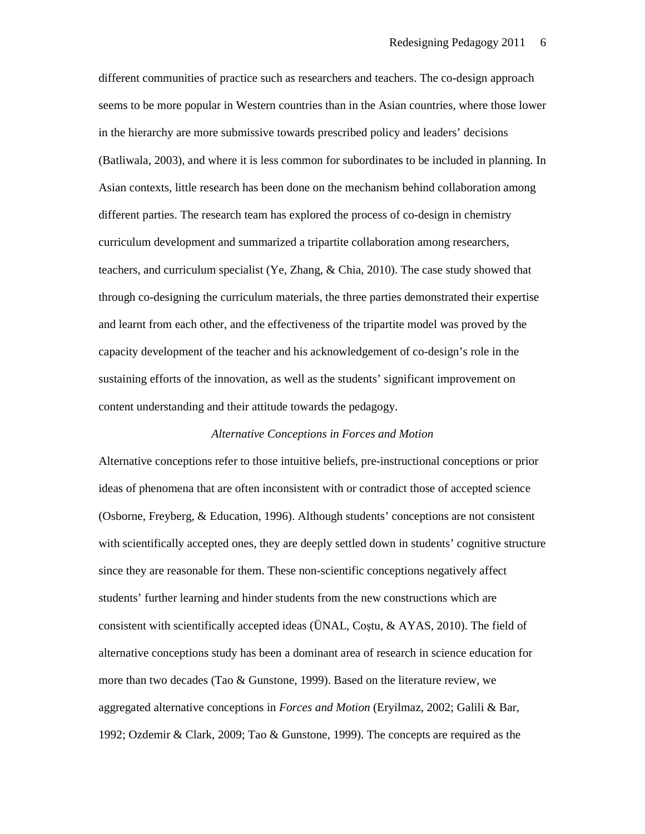different communities of practice such as researchers and teachers. The co-design approach seems to be more popular in Western countries than in the Asian countries, where those lower in the hierarchy are more submissive towards prescribed policy and leaders' decisions (Batliwala, 2003), and where it is less common for subordinates to be included in planning. In Asian contexts, little research has been done on the mechanism behind collaboration among different parties. The research team has explored the process of co-design in chemistry curriculum development and summarized a tripartite collaboration among researchers, teachers, and curriculum specialist (Ye, Zhang, & Chia, 2010). The case study showed that through co-designing the curriculum materials, the three parties demonstrated their expertise and learnt from each other, and the effectiveness of the tripartite model was proved by the capacity development of the teacher and his acknowledgement of co-design's role in the sustaining efforts of the innovation, as well as the students' significant improvement on content understanding and their attitude towards the pedagogy.

## *Alternative Conceptions in Forces and Motion*

Alternative conceptions refer to those intuitive beliefs, pre-instructional conceptions or prior ideas of phenomena that are often inconsistent with or contradict those of accepted science (Osborne, Freyberg, & Education, 1996). Although students' conceptions are not consistent with scientifically accepted ones, they are deeply settled down in students' cognitive structure since they are reasonable for them. These non-scientific conceptions negatively affect students' further learning and hinder students from the new constructions which are consistent with scientifically accepted ideas (ÜNAL, Coştu, & AYAS, 2010). The field of alternative conceptions study has been a dominant area of research in science education for more than two decades (Tao & Gunstone, 1999). Based on the literature review, we aggregated alternative conceptions in *Forces and Motion* (Eryilmaz, 2002; Galili & Bar, 1992; Ozdemir & Clark, 2009; Tao & Gunstone, 1999). The concepts are required as the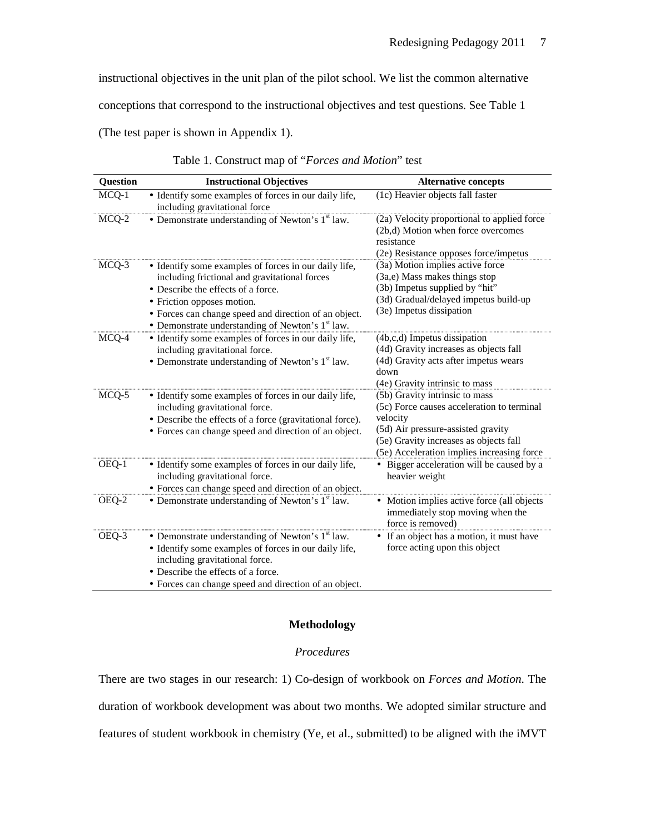instructional objectives in the unit plan of the pilot school. We list the common alternative

conceptions that correspond to the instructional objectives and test questions. See Table 1

(The test paper is shown in Appendix 1).

| <b>Question</b> | <b>Instructional Objectives</b>                                                                                                                                                                                                                                                           | <b>Alternative concepts</b>                                                                                                                                                                                            |
|-----------------|-------------------------------------------------------------------------------------------------------------------------------------------------------------------------------------------------------------------------------------------------------------------------------------------|------------------------------------------------------------------------------------------------------------------------------------------------------------------------------------------------------------------------|
| MCQ-1           | • Identify some examples of forces in our daily life,<br>including gravitational force                                                                                                                                                                                                    | (1c) Heavier objects fall faster                                                                                                                                                                                       |
| MCQ-2           | • Demonstrate understanding of Newton's $1st$ law.                                                                                                                                                                                                                                        | (2a) Velocity proportional to applied force<br>(2b,d) Motion when force overcomes<br>resistance<br>(2e) Resistance opposes force/impetus                                                                               |
| MCQ-3           | • Identify some examples of forces in our daily life,<br>including frictional and gravitational forces<br>• Describe the effects of a force.<br>• Friction opposes motion.<br>• Forces can change speed and direction of an object.<br>• Demonstrate understanding of Newton's $1st$ law. | (3a) Motion implies active force<br>(3a,e) Mass makes things stop<br>(3b) Impetus supplied by "hit"<br>(3d) Gradual/delayed impetus build-up<br>(3e) Impetus dissipation                                               |
| MCQ-4           | • Identify some examples of forces in our daily life,<br>including gravitational force.<br>• Demonstrate understanding of Newton's $1st$ law.                                                                                                                                             | (4b,c,d) Impetus dissipation<br>(4d) Gravity increases as objects fall<br>(4d) Gravity acts after impetus wears<br>down<br>(4e) Gravity intrinsic to mass                                                              |
| MCQ-5           | • Identify some examples of forces in our daily life,<br>including gravitational force.<br>• Describe the effects of a force (gravitational force).<br>• Forces can change speed and direction of an object.                                                                              | (5b) Gravity intrinsic to mass<br>(5c) Force causes acceleration to terminal<br>velocity<br>(5d) Air pressure-assisted gravity<br>(5e) Gravity increases as objects fall<br>(5e) Acceleration implies increasing force |
| OEQ-1           | • Identify some examples of forces in our daily life,<br>including gravitational force.<br>• Forces can change speed and direction of an object.                                                                                                                                          | • Bigger acceleration will be caused by a<br>heavier weight                                                                                                                                                            |
| OEQ-2           | • Demonstrate understanding of Newton's $1st$ law.                                                                                                                                                                                                                                        | • Motion implies active force (all objects<br>immediately stop moving when the<br>force is removed)                                                                                                                    |
| OEQ-3           | • Demonstrate understanding of Newton's $1st$ law.<br>• Identify some examples of forces in our daily life,<br>including gravitational force.<br>• Describe the effects of a force.<br>• Forces can change speed and direction of an object.                                              | • If an object has a motion, it must have<br>force acting upon this object                                                                                                                                             |

Table 1. Construct map of "*Forces and Motion*" test

# **Methodology**

## *Procedures*

There are two stages in our research: 1) Co-design of workbook on *Forces and Motion*. The duration of workbook development was about two months. We adopted similar structure and features of student workbook in chemistry (Ye, et al., submitted) to be aligned with the iMVT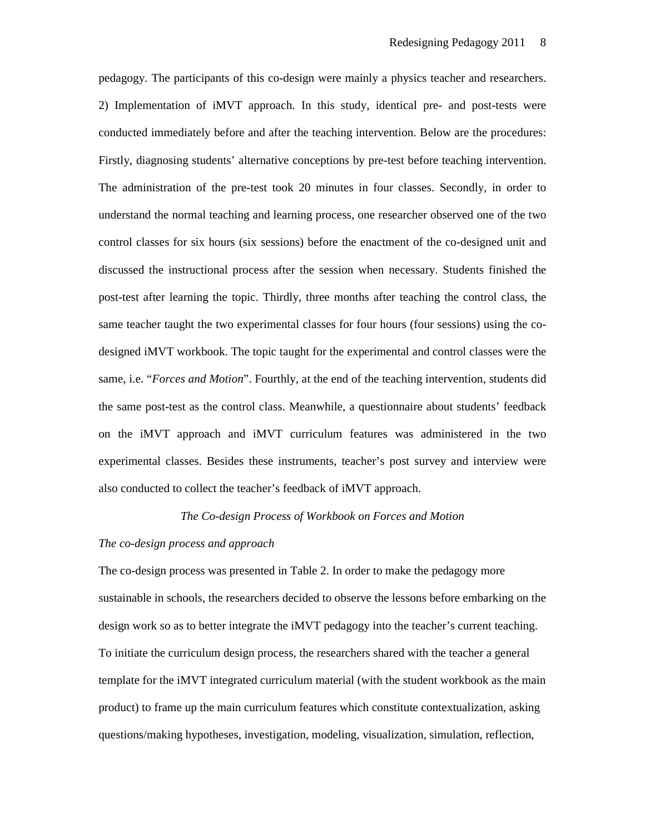pedagogy. The participants of this co-design were mainly a physics teacher and researchers. 2) Implementation of iMVT approach. In this study, identical pre- and post-tests were conducted immediately before and after the teaching intervention. Below are the procedures: Firstly, diagnosing students' alternative conceptions by pre-test before teaching intervention. The administration of the pre-test took 20 minutes in four classes. Secondly, in order to understand the normal teaching and learning process, one researcher observed one of the two control classes for six hours (six sessions) before the enactment of the co-designed unit and discussed the instructional process after the session when necessary. Students finished the post-test after learning the topic. Thirdly, three months after teaching the control class, the same teacher taught the two experimental classes for four hours (four sessions) using the codesigned iMVT workbook. The topic taught for the experimental and control classes were the same, i.e. "*Forces and Motion*". Fourthly, at the end of the teaching intervention, students did the same post-test as the control class. Meanwhile, a questionnaire about students' feedback on the iMVT approach and iMVT curriculum features was administered in the two experimental classes. Besides these instruments, teacher's post survey and interview were also conducted to collect the teacher's feedback of iMVT approach.

### *The Co-design Process of Workbook on Forces and Motion*

## *The co-design process and approach*

The co-design process was presented in Table 2. In order to make the pedagogy more sustainable in schools, the researchers decided to observe the lessons before embarking on the design work so as to better integrate the iMVT pedagogy into the teacher's current teaching. To initiate the curriculum design process, the researchers shared with the teacher a general template for the iMVT integrated curriculum material (with the student workbook as the main product) to frame up the main curriculum features which constitute contextualization, asking questions/making hypotheses, investigation, modeling, visualization, simulation, reflection,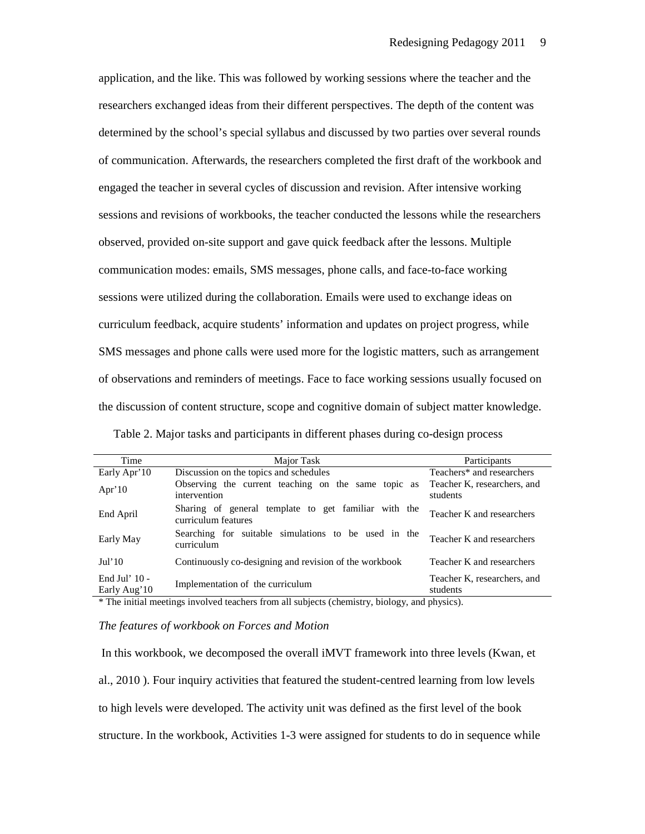application, and the like. This was followed by working sessions where the teacher and the researchers exchanged ideas from their different perspectives. The depth of the content was determined by the school's special syllabus and discussed by two parties over several rounds of communication. Afterwards, the researchers completed the first draft of the workbook and engaged the teacher in several cycles of discussion and revision. After intensive working sessions and revisions of workbooks, the teacher conducted the lessons while the researchers observed, provided on-site support and gave quick feedback after the lessons. Multiple communication modes: emails, SMS messages, phone calls, and face-to-face working sessions were utilized during the collaboration. Emails were used to exchange ideas on curriculum feedback, acquire students' information and updates on project progress, while SMS messages and phone calls were used more for the logistic matters, such as arrangement of observations and reminders of meetings. Face to face working sessions usually focused on the discussion of content structure, scope and cognitive domain of subject matter knowledge.

| Table 2. Major tasks and participants in different phases during co-design process |  |
|------------------------------------------------------------------------------------|--|
|------------------------------------------------------------------------------------|--|

| Time                            | Major Task                                                                  | Participants                            |
|---------------------------------|-----------------------------------------------------------------------------|-----------------------------------------|
| Early Apr'10                    | Discussion on the topics and schedules                                      | Teachers* and researchers               |
| Apr' $10$                       | Observing the current teaching on the same topic as<br>intervention         | Teacher K, researchers, and<br>students |
| End April                       | Sharing of general template to get familiar with the<br>curriculum features | Teacher K and researchers               |
| Early May                       | Searching for suitable simulations to be used in the<br>curriculum          | Teacher K and researchers               |
| Jul'10                          | Continuously co-designing and revision of the workbook                      | Teacher K and researchers               |
| End Jul' $10 -$<br>Early Aug'10 | Implementation of the curriculum                                            | Teacher K, researchers, and<br>students |

\* The initial meetings involved teachers from all subjects (chemistry, biology, and physics).

## *The features of workbook on Forces and Motion*

 In this workbook, we decomposed the overall iMVT framework into three levels (Kwan, et al., 2010 ). Four inquiry activities that featured the student-centred learning from low levels to high levels were developed. The activity unit was defined as the first level of the book structure. In the workbook, Activities 1-3 were assigned for students to do in sequence while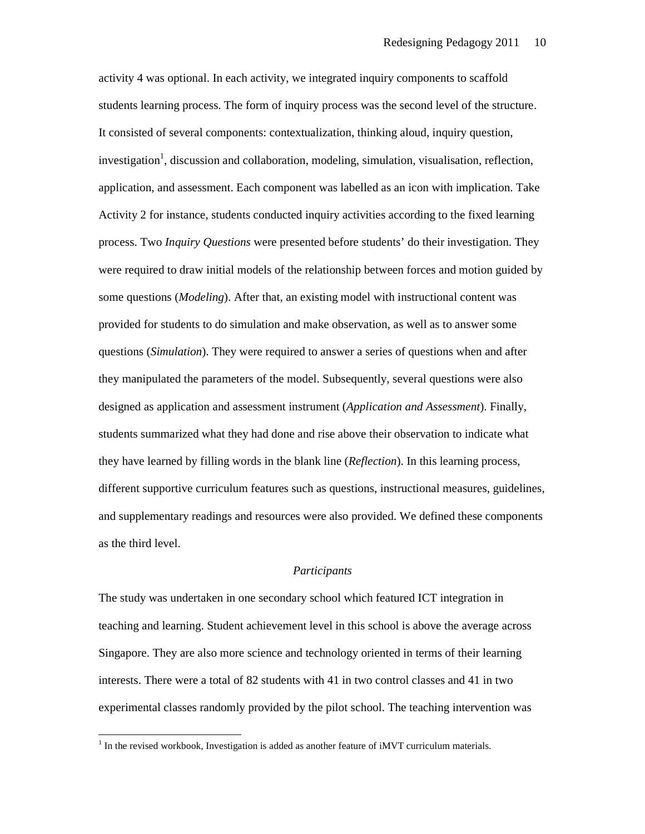activity 4 was optional. In each activity, we integrated inquiry components to scaffold students learning process. The form of inquiry process was the second level of the structure. It consisted of several components: contextualization, thinking aloud, inquiry question, investigation<sup>1</sup>, discussion and collaboration, modeling, simulation, visualisation, reflection, application, and assessment. Each component was labelled as an icon with implication. Take Activity 2 for instance, students conducted inquiry activities according to the fixed learning process. Two *Inquiry Questions* were presented before students' do their investigation. They were required to draw initial models of the relationship between forces and motion guided by some questions (*Modeling*). After that, an existing model with instructional content was provided for students to do simulation and make observation, as well as to answer some questions (*Simulation*). They were required to answer a series of questions when and after they manipulated the parameters of the model. Subsequently, several questions were also designed as application and assessment instrument (*Application and Assessment*). Finally, students summarized what they had done and rise above their observation to indicate what they have learned by filling words in the blank line (*Reflection*). In this learning process, different supportive curriculum features such as questions, instructional measures, guidelines, and supplementary readings and resources were also provided. We defined these components as the third level.

## *Participants*

The study was undertaken in one secondary school which featured ICT integration in teaching and learning. Student achievement level in this school is above the average across Singapore. They are also more science and technology oriented in terms of their learning interests. There were a total of 82 students with 41 in two control classes and 41 in two experimental classes randomly provided by the pilot school. The teaching intervention was

 $\overline{a}$ 

 $1$  In the revised workbook, Investigation is added as another feature of iMVT curriculum materials.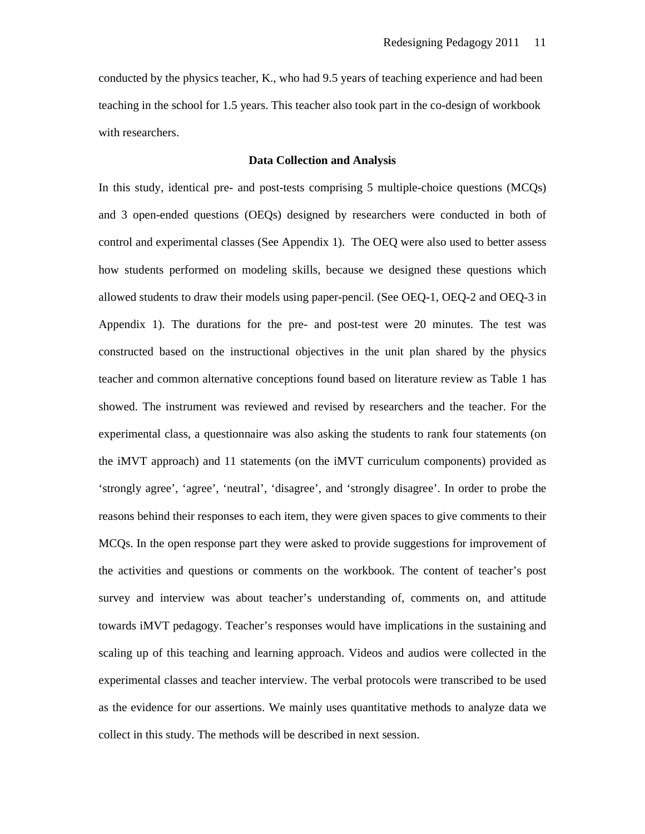conducted by the physics teacher, K., who had 9.5 years of teaching experience and had been teaching in the school for 1.5 years. This teacher also took part in the co-design of workbook with researchers.

## **Data Collection and Analysis**

In this study, identical pre- and post-tests comprising 5 multiple-choice questions (MCQs) and 3 open-ended questions (OEQs) designed by researchers were conducted in both of control and experimental classes (See Appendix 1). The OEQ were also used to better assess how students performed on modeling skills, because we designed these questions which allowed students to draw their models using paper-pencil. (See OEQ-1, OEQ-2 and OEQ-3 in Appendix 1). The durations for the pre- and post-test were 20 minutes. The test was constructed based on the instructional objectives in the unit plan shared by the physics teacher and common alternative conceptions found based on literature review as Table 1 has showed. The instrument was reviewed and revised by researchers and the teacher. For the experimental class, a questionnaire was also asking the students to rank four statements (on the iMVT approach) and 11 statements (on the iMVT curriculum components) provided as 'strongly agree', 'agree', 'neutral', 'disagree', and 'strongly disagree'. In order to probe the reasons behind their responses to each item, they were given spaces to give comments to their MCQs. In the open response part they were asked to provide suggestions for improvement of the activities and questions or comments on the workbook. The content of teacher's post survey and interview was about teacher's understanding of, comments on, and attitude towards iMVT pedagogy. Teacher's responses would have implications in the sustaining and scaling up of this teaching and learning approach. Videos and audios were collected in the experimental classes and teacher interview. The verbal protocols were transcribed to be used as the evidence for our assertions. We mainly uses quantitative methods to analyze data we collect in this study. The methods will be described in next session.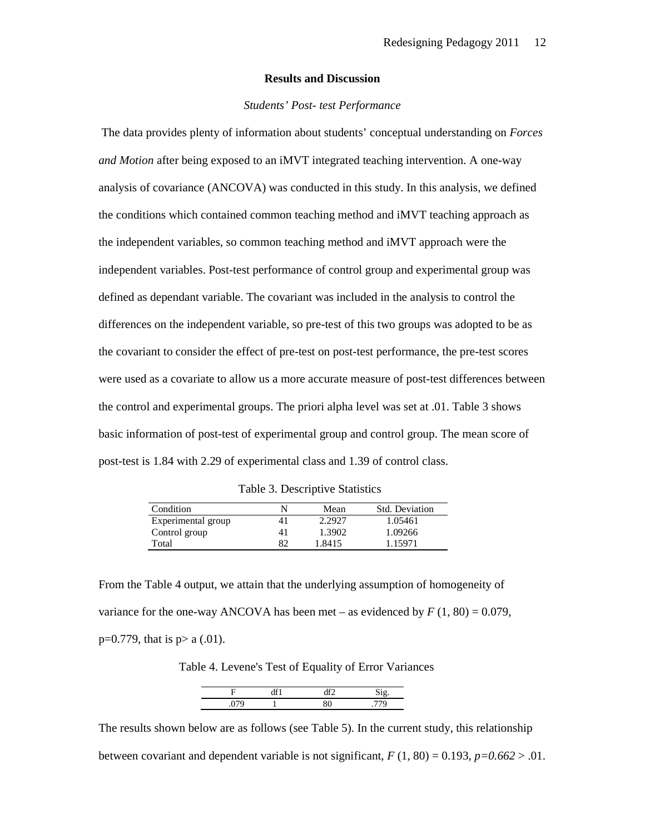#### **Results and Discussion**

#### *Students' Post- test Performance*

The data provides plenty of information about students' conceptual understanding on *Forces and Motion* after being exposed to an iMVT integrated teaching intervention. A one-way analysis of covariance (ANCOVA) was conducted in this study. In this analysis, we defined the conditions which contained common teaching method and iMVT teaching approach as the independent variables, so common teaching method and iMVT approach were the independent variables. Post-test performance of control group and experimental group was defined as dependant variable. The covariant was included in the analysis to control the differences on the independent variable, so pre-test of this two groups was adopted to be as the covariant to consider the effect of pre-test on post-test performance, the pre-test scores were used as a covariate to allow us a more accurate measure of post-test differences between the control and experimental groups. The priori alpha level was set at .01. Table 3 shows basic information of post-test of experimental group and control group. The mean score of post-test is 1.84 with 2.29 of experimental class and 1.39 of control class.

| Table 3. Descriptive Statistics |
|---------------------------------|
|---------------------------------|

| Condition          |    | Mean   | <b>Std. Deviation</b> |
|--------------------|----|--------|-----------------------|
| Experimental group | 41 | 2.2927 | 1.05461               |
| Control group      | 41 | 1.3902 | 1.09266               |
| Total              | 82 | 1.8415 | 1.15971               |

From the Table 4 output, we attain that the underlying assumption of homogeneity of variance for the one-way ANCOVA has been met – as evidenced by  $F(1, 80) = 0.079$ ,  $p=0.779$ , that is  $p > a(0.01)$ .

Table 4. Levene's Test of Equality of Error Variances

The results shown below are as follows (see Table 5). In the current study, this relationship between covariant and dependent variable is not significant,  $F(1, 80) = 0.193$ ,  $p=0.662 > .01$ .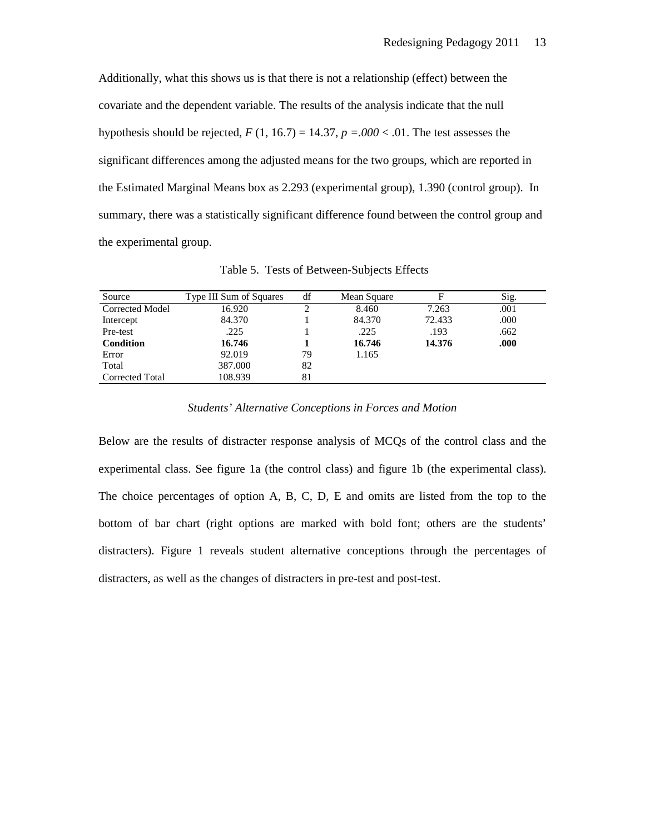Additionally, what this shows us is that there is not a relationship (effect) between the covariate and the dependent variable. The results of the analysis indicate that the null hypothesis should be rejected,  $F(1, 16.7) = 14.37$ ,  $p = .000 < .01$ . The test assesses the significant differences among the adjusted means for the two groups, which are reported in the Estimated Marginal Means box as 2.293 (experimental group), 1.390 (control group). In summary, there was a statistically significant difference found between the control group and the experimental group.

| Source                 | Type III Sum of Squares | df | Mean Square | F      | Sig. |
|------------------------|-------------------------|----|-------------|--------|------|
| <b>Corrected Model</b> | 16.920                  |    | 8.460       | 7.263  | .001 |
| Intercept              | 84.370                  |    | 84.370      | 72.433 | .000 |
| Pre-test               | .225                    |    | .225        | .193   | .662 |
| <b>Condition</b>       | 16.746                  |    | 16.746      | 14.376 | .000 |
| Error                  | 92.019                  | 79 | 1.165       |        |      |
| Total                  | 387.000                 | 82 |             |        |      |
| Corrected Total        | 108.939                 | 81 |             |        |      |

Table 5. Tests of Between-Subjects Effects

*Students' Alternative Conceptions in Forces and Motion* 

Below are the results of distracter response analysis of MCQs of the control class and the experimental class. See figure 1a (the control class) and figure 1b (the experimental class). The choice percentages of option A, B, C, D, E and omits are listed from the top to the bottom of bar chart (right options are marked with bold font; others are the students' distracters). Figure 1 reveals student alternative conceptions through the percentages of distracters, as well as the changes of distracters in pre-test and post-test.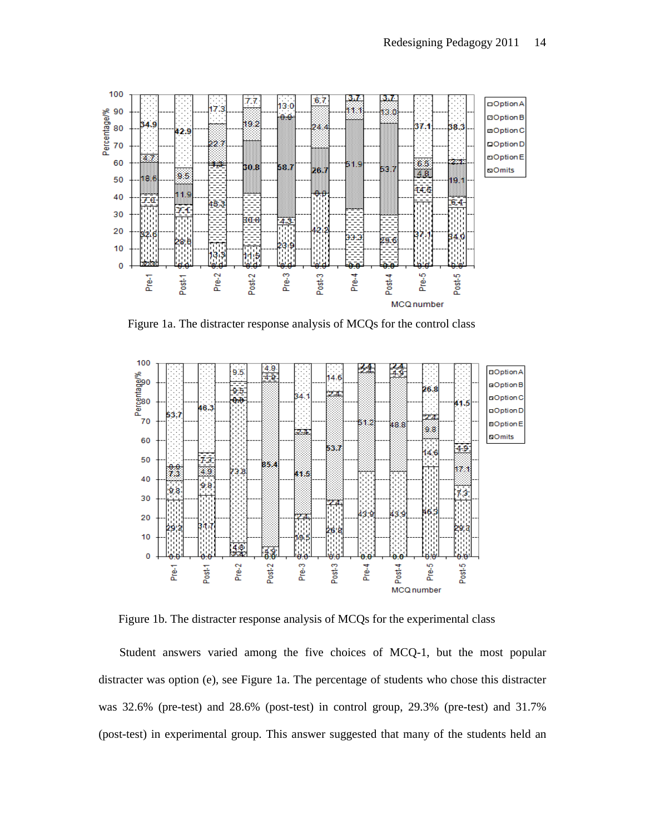

Figure 1a. The distracter response analysis of MCQs for the control class



Figure 1b. The distracter response analysis of MCQs for the experimental class

 Student answers varied among the five choices of MCQ-1, but the most popular distracter was option (e), see Figure 1a. The percentage of students who chose this distracter was 32.6% (pre-test) and 28.6% (post-test) in control group, 29.3% (pre-test) and 31.7% (post-test) in experimental group. This answer suggested that many of the students held an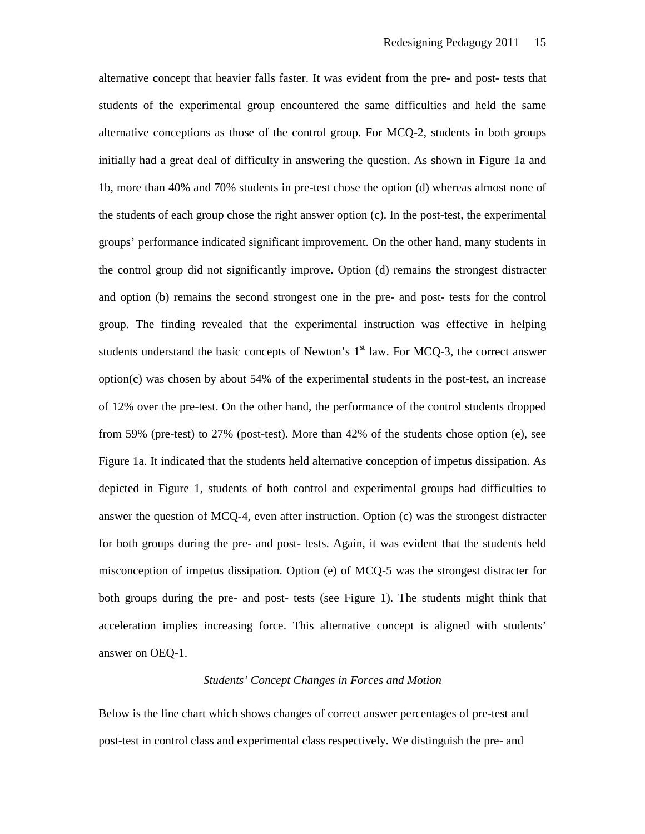alternative concept that heavier falls faster. It was evident from the pre- and post- tests that students of the experimental group encountered the same difficulties and held the same alternative conceptions as those of the control group. For MCQ-2, students in both groups initially had a great deal of difficulty in answering the question. As shown in Figure 1a and 1b, more than 40% and 70% students in pre-test chose the option (d) whereas almost none of the students of each group chose the right answer option (c). In the post-test, the experimental groups' performance indicated significant improvement. On the other hand, many students in the control group did not significantly improve. Option (d) remains the strongest distracter and option (b) remains the second strongest one in the pre- and post- tests for the control group. The finding revealed that the experimental instruction was effective in helping students understand the basic concepts of Newton's  $1<sup>st</sup>$  law. For MCQ-3, the correct answer option(c) was chosen by about 54% of the experimental students in the post-test, an increase of 12% over the pre-test. On the other hand, the performance of the control students dropped from 59% (pre-test) to 27% (post-test). More than 42% of the students chose option (e), see Figure 1a. It indicated that the students held alternative conception of impetus dissipation. As depicted in Figure 1, students of both control and experimental groups had difficulties to answer the question of MCQ-4, even after instruction. Option (c) was the strongest distracter for both groups during the pre- and post- tests. Again, it was evident that the students held misconception of impetus dissipation. Option (e) of MCQ-5 was the strongest distracter for both groups during the pre- and post- tests (see Figure 1). The students might think that acceleration implies increasing force. This alternative concept is aligned with students' answer on OEQ-1.

## *Students' Concept Changes in Forces and Motion*

Below is the line chart which shows changes of correct answer percentages of pre-test and post-test in control class and experimental class respectively. We distinguish the pre- and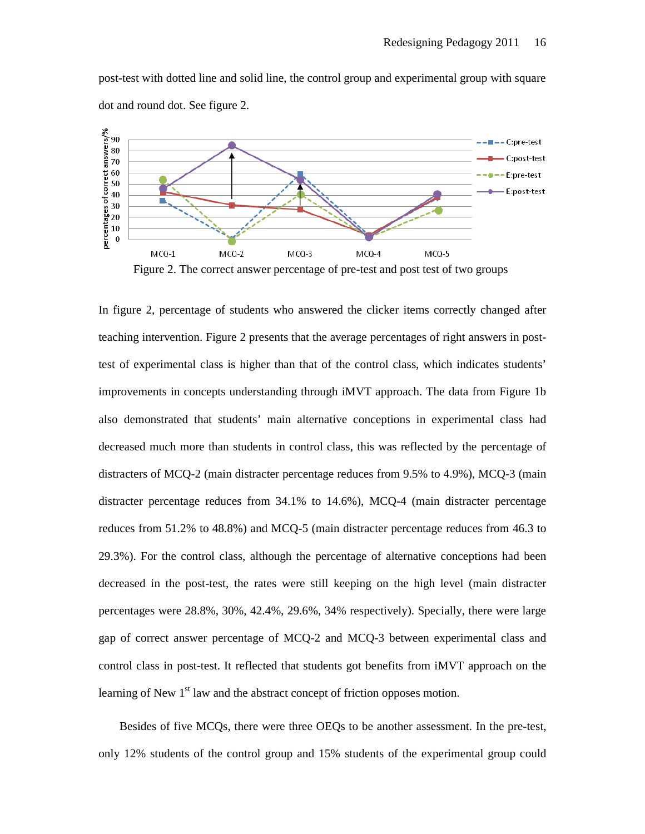

post-test with dotted line and solid line, the control group and experimental group with square dot and round dot. See figure 2.

In figure 2, percentage of students who answered the clicker items correctly changed after teaching intervention. Figure 2 presents that the average percentages of right answers in posttest of experimental class is higher than that of the control class, which indicates students' improvements in concepts understanding through iMVT approach. The data from Figure 1b also demonstrated that students' main alternative conceptions in experimental class had decreased much more than students in control class, this was reflected by the percentage of distracters of MCQ-2 (main distracter percentage reduces from 9.5% to 4.9%), MCQ-3 (main distracter percentage reduces from 34.1% to 14.6%), MCQ-4 (main distracter percentage reduces from 51.2% to 48.8%) and MCQ-5 (main distracter percentage reduces from 46.3 to 29.3%). For the control class, although the percentage of alternative conceptions had been decreased in the post-test, the rates were still keeping on the high level (main distracter percentages were 28.8%, 30%, 42.4%, 29.6%, 34% respectively). Specially, there were large gap of correct answer percentage of MCQ-2 and MCQ-3 between experimental class and control class in post-test. It reflected that students got benefits from iMVT approach on the learning of New 1<sup>st</sup> law and the abstract concept of friction opposes motion.

 Besides of five MCQs, there were three OEQs to be another assessment. In the pre-test, only 12% students of the control group and 15% students of the experimental group could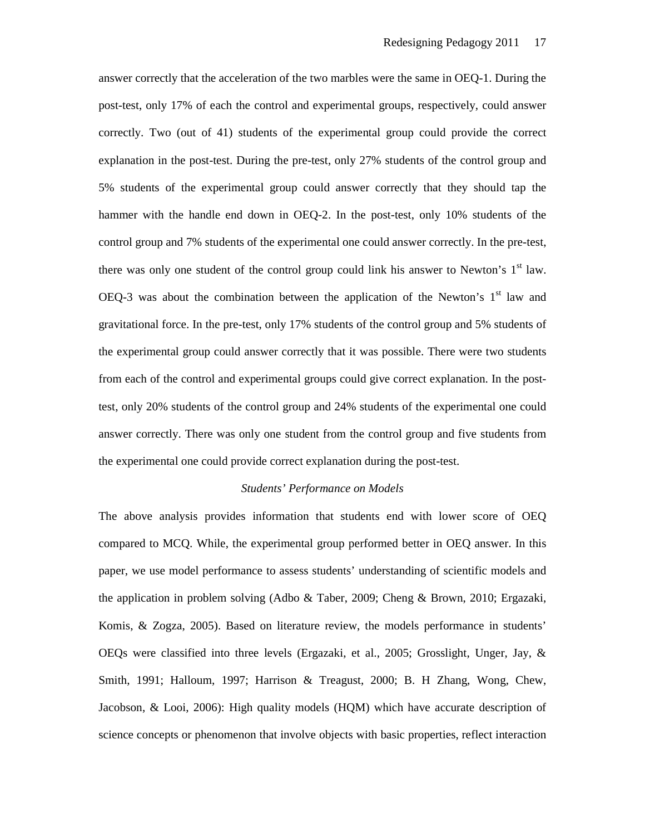answer correctly that the acceleration of the two marbles were the same in OEQ-1. During the post-test, only 17% of each the control and experimental groups, respectively, could answer correctly. Two (out of 41) students of the experimental group could provide the correct explanation in the post-test. During the pre-test, only 27% students of the control group and 5% students of the experimental group could answer correctly that they should tap the hammer with the handle end down in OEQ-2. In the post-test, only 10% students of the control group and 7% students of the experimental one could answer correctly. In the pre-test, there was only one student of the control group could link his answer to Newton's  $1<sup>st</sup>$  law. OEQ-3 was about the combination between the application of the Newton's  $1<sup>st</sup>$  law and gravitational force. In the pre-test, only 17% students of the control group and 5% students of the experimental group could answer correctly that it was possible. There were two students from each of the control and experimental groups could give correct explanation. In the posttest, only 20% students of the control group and 24% students of the experimental one could answer correctly. There was only one student from the control group and five students from the experimental one could provide correct explanation during the post-test.

## *Students' Performance on Models*

The above analysis provides information that students end with lower score of OEQ compared to MCQ. While, the experimental group performed better in OEQ answer. In this paper, we use model performance to assess students' understanding of scientific models and the application in problem solving (Adbo & Taber, 2009; Cheng & Brown, 2010; Ergazaki, Komis, & Zogza, 2005). Based on literature review, the models performance in students' OEQs were classified into three levels (Ergazaki, et al., 2005; Grosslight, Unger, Jay, & Smith, 1991; Halloum, 1997; Harrison & Treagust, 2000; B. H Zhang, Wong, Chew, Jacobson, & Looi, 2006): High quality models (HQM) which have accurate description of science concepts or phenomenon that involve objects with basic properties, reflect interaction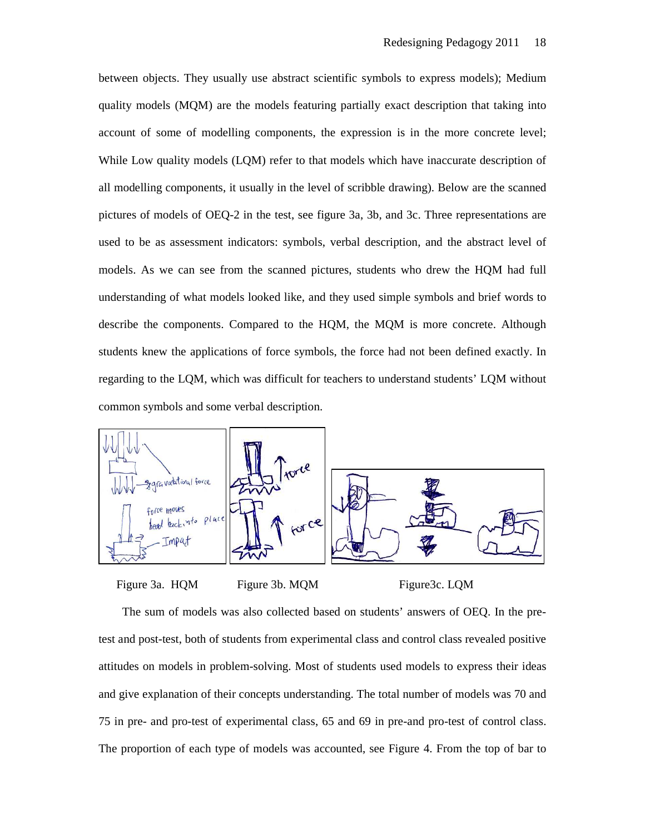between objects. They usually use abstract scientific symbols to express models); Medium quality models (MQM) are the models featuring partially exact description that taking into account of some of modelling components, the expression is in the more concrete level; While Low quality models (LQM) refer to that models which have inaccurate description of all modelling components, it usually in the level of scribble drawing). Below are the scanned pictures of models of OEQ-2 in the test, see figure 3a, 3b, and 3c. Three representations are used to be as assessment indicators: symbols, verbal description, and the abstract level of models. As we can see from the scanned pictures, students who drew the HQM had full understanding of what models looked like, and they used simple symbols and brief words to describe the components. Compared to the HQM, the MQM is more concrete. Although students knew the applications of force symbols, the force had not been defined exactly. In regarding to the LQM, which was difficult for teachers to understand students' LQM without common symbols and some verbal description.



Figure 3a. HQM Figure 3b. MQM Figure3c. LQM

 The sum of models was also collected based on students' answers of OEQ. In the pretest and post-test, both of students from experimental class and control class revealed positive attitudes on models in problem-solving. Most of students used models to express their ideas and give explanation of their concepts understanding. The total number of models was 70 and 75 in pre- and pro-test of experimental class, 65 and 69 in pre-and pro-test of control class. The proportion of each type of models was accounted, see Figure 4. From the top of bar to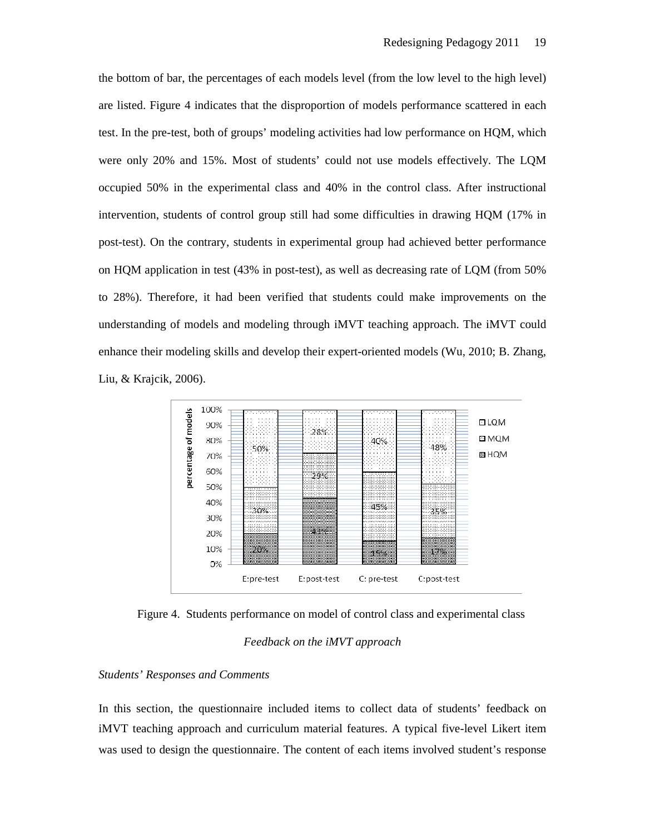the bottom of bar, the percentages of each models level (from the low level to the high level) are listed. Figure 4 indicates that the disproportion of models performance scattered in each test. In the pre-test, both of groups' modeling activities had low performance on HQM, which were only 20% and 15%. Most of students' could not use models effectively. The LQM occupied 50% in the experimental class and 40% in the control class. After instructional intervention, students of control group still had some difficulties in drawing HQM (17% in post-test). On the contrary, students in experimental group had achieved better performance on HQM application in test (43% in post-test), as well as decreasing rate of LQM (from 50% to 28%). Therefore, it had been verified that students could make improvements on the understanding of models and modeling through iMVT teaching approach. The iMVT could enhance their modeling skills and develop their expert-oriented models (Wu, 2010; B. Zhang, Liu, & Krajcik, 2006).



Figure 4. Students performance on model of control class and experimental class

## *Feedback on the iMVT approach*

#### *Students' Responses and Comments*

In this section, the questionnaire included items to collect data of students' feedback on iMVT teaching approach and curriculum material features. A typical five-level Likert item was used to design the questionnaire. The content of each items involved student's response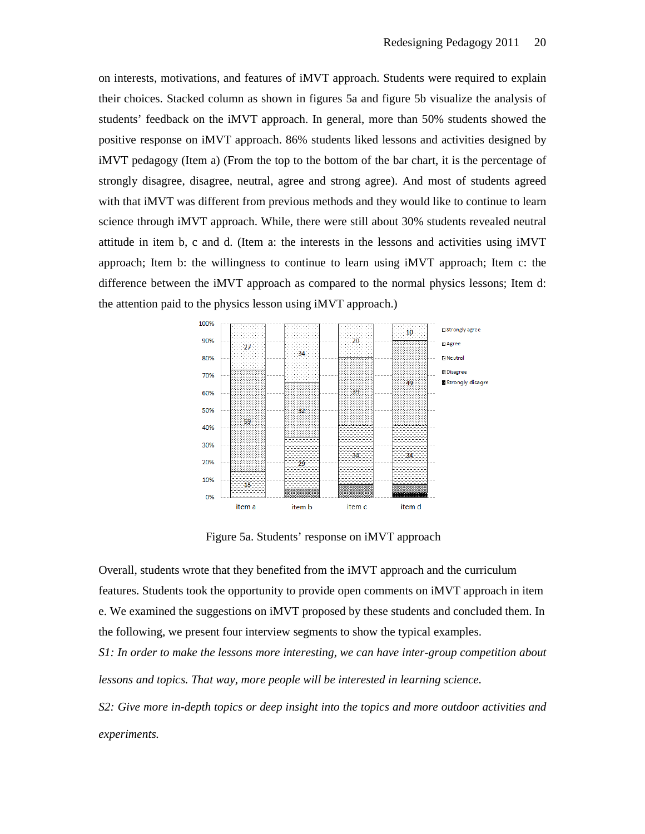on interests, motivations, and features of iMVT approach. Students were required to explain their choices. Stacked column as shown in figures 5a and figure 5b visualize the analysis of students' feedback on the iMVT approach. In general, more than 50% students showed the positive response on iMVT approach. 86% students liked lessons and activities designed by iMVT pedagogy (Item a) (From the top to the bottom of the bar chart, it is the percentage of strongly disagree, disagree, neutral, agree and strong agree). And most of students agreed with that iMVT was different from previous methods and they would like to continue to learn science through iMVT approach. While, there were still about 30% students revealed neutral attitude in item b, c and d. (Item a: the interests in the lessons and activities using iMVT approach; Item b: the willingness to continue to learn using iMVT approach; Item c: the difference between the iMVT approach as compared to the normal physics lessons; Item d: the attention paid to the physics lesson using iMVT approach.)



Figure 5a. Students' response on iMVT approach

Overall, students wrote that they benefited from the iMVT approach and the curriculum features. Students took the opportunity to provide open comments on iMVT approach in item e. We examined the suggestions on iMVT proposed by these students and concluded them. In the following, we present four interview segments to show the typical examples.

*S1: In order to make the lessons more interesting, we can have inter-group competition about lessons and topics. That way, more people will be interested in learning science.* 

*S2: Give more in-depth topics or deep insight into the topics and more outdoor activities and experiments.*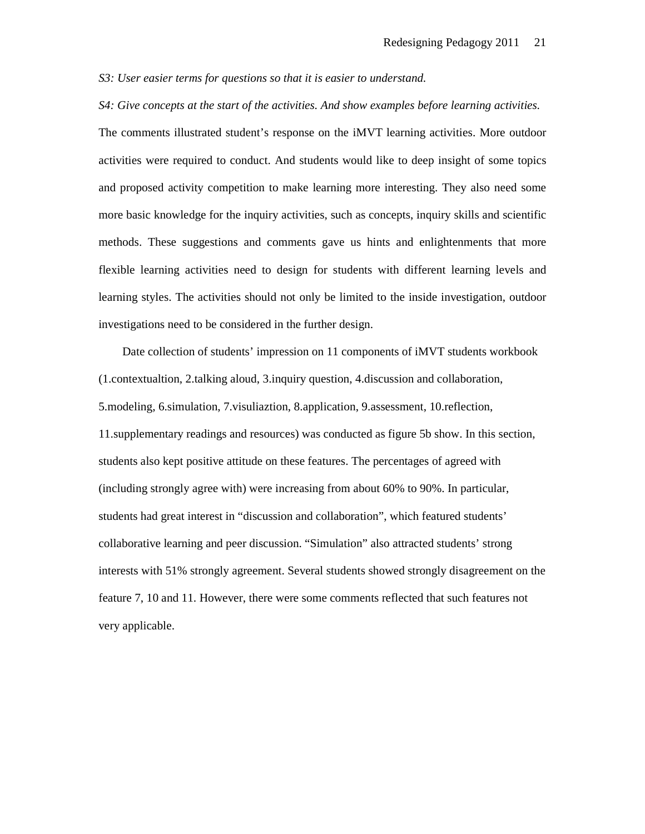*S3: User easier terms for questions so that it is easier to understand.* 

*S4: Give concepts at the start of the activities. And show examples before learning activities.*

The comments illustrated student's response on the iMVT learning activities. More outdoor activities were required to conduct. And students would like to deep insight of some topics and proposed activity competition to make learning more interesting. They also need some more basic knowledge for the inquiry activities, such as concepts, inquiry skills and scientific methods. These suggestions and comments gave us hints and enlightenments that more flexible learning activities need to design for students with different learning levels and learning styles. The activities should not only be limited to the inside investigation, outdoor investigations need to be considered in the further design.

 Date collection of students' impression on 11 components of iMVT students workbook (1.contextualtion, 2.talking aloud, 3.inquiry question, 4.discussion and collaboration, 5.modeling, 6.simulation, 7.visuliaztion, 8.application, 9.assessment, 10.reflection, 11.supplementary readings and resources) was conducted as figure 5b show. In this section, students also kept positive attitude on these features. The percentages of agreed with (including strongly agree with) were increasing from about 60% to 90%. In particular, students had great interest in "discussion and collaboration", which featured students' collaborative learning and peer discussion. "Simulation" also attracted students' strong interests with 51% strongly agreement. Several students showed strongly disagreement on the feature 7, 10 and 11. However, there were some comments reflected that such features not very applicable.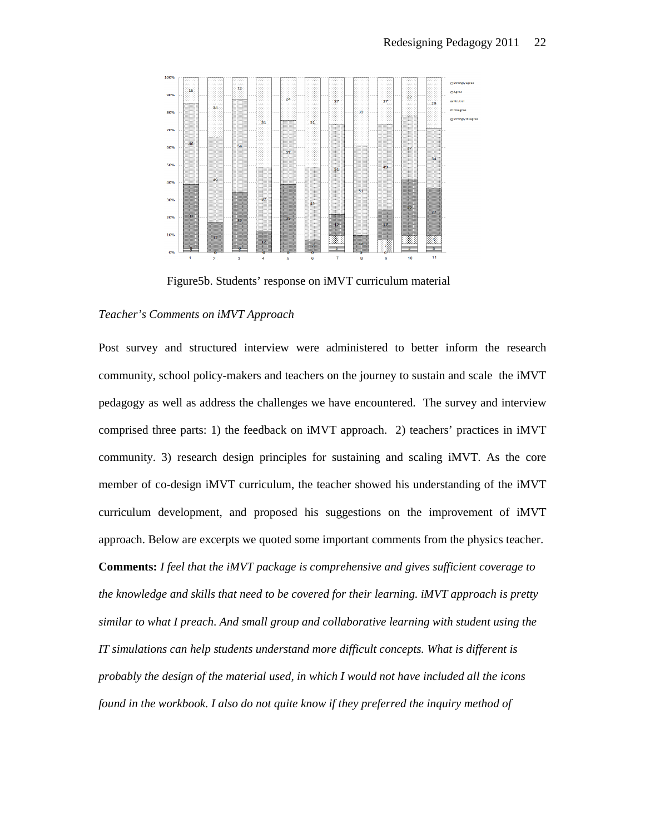

Figure5b. Students' response on iMVT curriculum material

#### *Teacher's Comments on iMVT Approach*

Post survey and structured interview were administered to better inform the research community, school policy-makers and teachers on the journey to sustain and scale the iMVT pedagogy as well as address the challenges we have encountered. The survey and interview comprised three parts: 1) the feedback on iMVT approach. 2) teachers' practices in iMVT community. 3) research design principles for sustaining and scaling iMVT. As the core member of co-design iMVT curriculum, the teacher showed his understanding of the iMVT curriculum development, and proposed his suggestions on the improvement of iMVT approach. Below are excerpts we quoted some important comments from the physics teacher. **Comments:** *I feel that the iMVT package is comprehensive and gives sufficient coverage to the knowledge and skills that need to be covered for their learning. iMVT approach is pretty similar to what I preach. And small group and collaborative learning with student using the IT simulations can help students understand more difficult concepts. What is different is probably the design of the material used, in which I would not have included all the icons found in the workbook. I also do not quite know if they preferred the inquiry method of*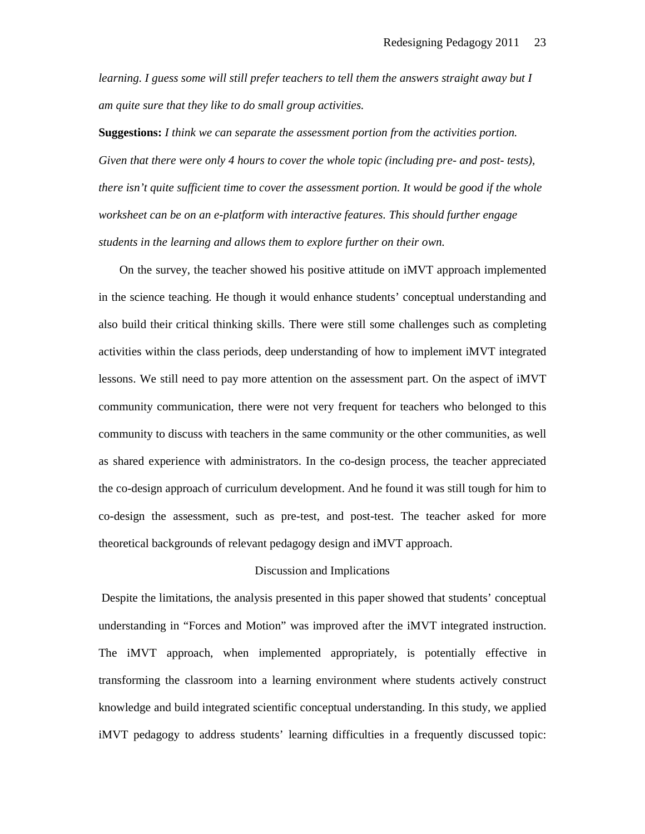*learning. I guess some will still prefer teachers to tell them the answers straight away but I am quite sure that they like to do small group activities.* 

**Suggestions:** *I think we can separate the assessment portion from the activities portion. Given that there were only 4 hours to cover the whole topic (including pre- and post- tests), there isn't quite sufficient time to cover the assessment portion. It would be good if the whole worksheet can be on an e-platform with interactive features. This should further engage students in the learning and allows them to explore further on their own.* 

 On the survey, the teacher showed his positive attitude on iMVT approach implemented in the science teaching. He though it would enhance students' conceptual understanding and also build their critical thinking skills. There were still some challenges such as completing activities within the class periods, deep understanding of how to implement iMVT integrated lessons. We still need to pay more attention on the assessment part. On the aspect of iMVT community communication, there were not very frequent for teachers who belonged to this community to discuss with teachers in the same community or the other communities, as well as shared experience with administrators. In the co-design process, the teacher appreciated the co-design approach of curriculum development. And he found it was still tough for him to co-design the assessment, such as pre-test, and post-test. The teacher asked for more theoretical backgrounds of relevant pedagogy design and iMVT approach.

## Discussion and Implications

 Despite the limitations, the analysis presented in this paper showed that students' conceptual understanding in "Forces and Motion" was improved after the iMVT integrated instruction. The iMVT approach, when implemented appropriately, is potentially effective in transforming the classroom into a learning environment where students actively construct knowledge and build integrated scientific conceptual understanding. In this study, we applied iMVT pedagogy to address students' learning difficulties in a frequently discussed topic: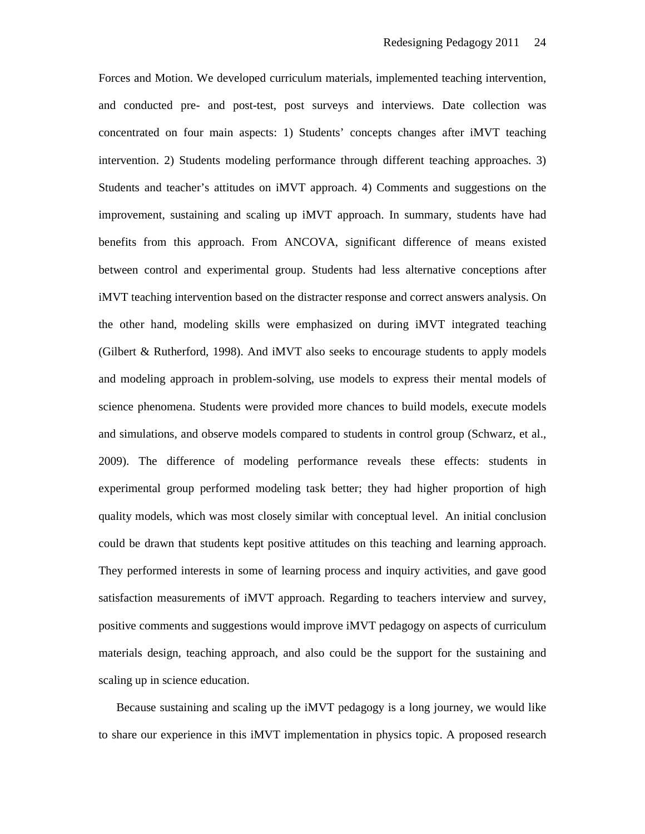Forces and Motion. We developed curriculum materials, implemented teaching intervention, and conducted pre- and post-test, post surveys and interviews. Date collection was concentrated on four main aspects: 1) Students' concepts changes after iMVT teaching intervention. 2) Students modeling performance through different teaching approaches. 3) Students and teacher's attitudes on iMVT approach. 4) Comments and suggestions on the improvement, sustaining and scaling up iMVT approach. In summary, students have had benefits from this approach. From ANCOVA, significant difference of means existed between control and experimental group. Students had less alternative conceptions after iMVT teaching intervention based on the distracter response and correct answers analysis. On the other hand, modeling skills were emphasized on during iMVT integrated teaching (Gilbert & Rutherford, 1998). And iMVT also seeks to encourage students to apply models and modeling approach in problem-solving, use models to express their mental models of science phenomena. Students were provided more chances to build models, execute models and simulations, and observe models compared to students in control group (Schwarz, et al., 2009). The difference of modeling performance reveals these effects: students in experimental group performed modeling task better; they had higher proportion of high quality models, which was most closely similar with conceptual level. An initial conclusion could be drawn that students kept positive attitudes on this teaching and learning approach. They performed interests in some of learning process and inquiry activities, and gave good satisfaction measurements of iMVT approach. Regarding to teachers interview and survey, positive comments and suggestions would improve iMVT pedagogy on aspects of curriculum materials design, teaching approach, and also could be the support for the sustaining and scaling up in science education.

 Because sustaining and scaling up the iMVT pedagogy is a long journey, we would like to share our experience in this iMVT implementation in physics topic. A proposed research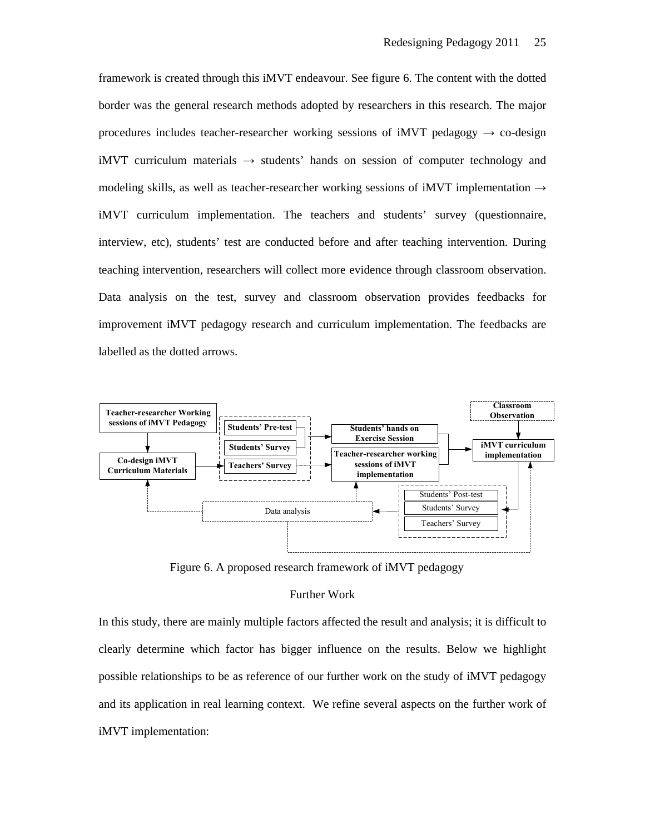framework is created through this iMVT endeavour. See figure 6. The content with the dotted border was the general research methods adopted by researchers in this research. The major procedures includes teacher-researcher working sessions of iMVT pedagogy  $\rightarrow$  co-design iMVT curriculum materials  $\rightarrow$  students' hands on session of computer technology and modeling skills, as well as teacher-researcher working sessions of iMVT implementation  $\rightarrow$ iMVT curriculum implementation. The teachers and students' survey (questionnaire, interview, etc), students' test are conducted before and after teaching intervention. During teaching intervention, researchers will collect more evidence through classroom observation. Data analysis on the test, survey and classroom observation provides feedbacks for improvement iMVT pedagogy research and curriculum implementation. The feedbacks are labelled as the dotted arrows.



Figure 6. A proposed research framework of iMVT pedagogy

## Further Work

In this study, there are mainly multiple factors affected the result and analysis; it is difficult to clearly determine which factor has bigger influence on the results. Below we highlight possible relationships to be as reference of our further work on the study of iMVT pedagogy and its application in real learning context. We refine several aspects on the further work of iMVT implementation: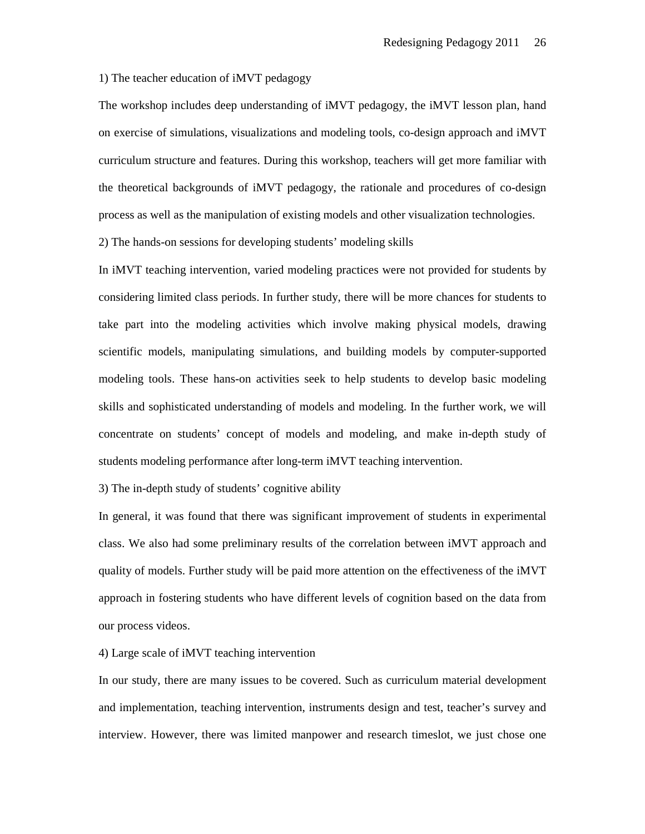## 1) The teacher education of iMVT pedagogy

The workshop includes deep understanding of iMVT pedagogy, the iMVT lesson plan, hand on exercise of simulations, visualizations and modeling tools, co-design approach and iMVT curriculum structure and features. During this workshop, teachers will get more familiar with the theoretical backgrounds of iMVT pedagogy, the rationale and procedures of co-design process as well as the manipulation of existing models and other visualization technologies.

2) The hands-on sessions for developing students' modeling skills

In iMVT teaching intervention, varied modeling practices were not provided for students by considering limited class periods. In further study, there will be more chances for students to take part into the modeling activities which involve making physical models, drawing scientific models, manipulating simulations, and building models by computer-supported modeling tools. These hans-on activities seek to help students to develop basic modeling skills and sophisticated understanding of models and modeling. In the further work, we will concentrate on students' concept of models and modeling, and make in-depth study of students modeling performance after long-term iMVT teaching intervention.

3) The in-depth study of students' cognitive ability

In general, it was found that there was significant improvement of students in experimental class. We also had some preliminary results of the correlation between iMVT approach and quality of models. Further study will be paid more attention on the effectiveness of the iMVT approach in fostering students who have different levels of cognition based on the data from our process videos.

#### 4) Large scale of iMVT teaching intervention

In our study, there are many issues to be covered. Such as curriculum material development and implementation, teaching intervention, instruments design and test, teacher's survey and interview. However, there was limited manpower and research timeslot, we just chose one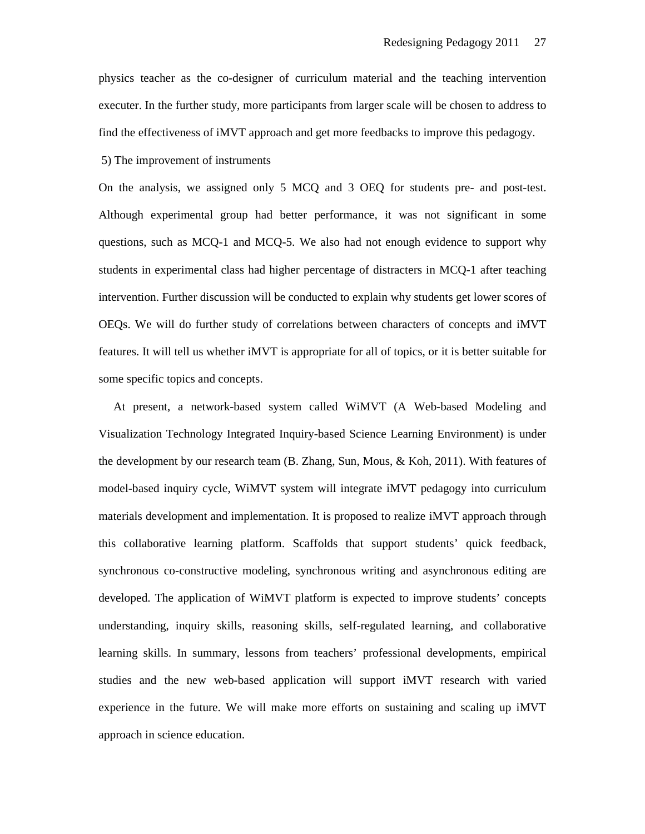physics teacher as the co-designer of curriculum material and the teaching intervention executer. In the further study, more participants from larger scale will be chosen to address to find the effectiveness of iMVT approach and get more feedbacks to improve this pedagogy.

5) The improvement of instruments

On the analysis, we assigned only 5 MCQ and 3 OEQ for students pre- and post-test. Although experimental group had better performance, it was not significant in some questions, such as MCQ-1 and MCQ-5. We also had not enough evidence to support why students in experimental class had higher percentage of distracters in MCQ-1 after teaching intervention. Further discussion will be conducted to explain why students get lower scores of OEQs. We will do further study of correlations between characters of concepts and iMVT features. It will tell us whether iMVT is appropriate for all of topics, or it is better suitable for some specific topics and concepts.

 At present, a network-based system called WiMVT (A Web-based Modeling and Visualization Technology Integrated Inquiry-based Science Learning Environment) is under the development by our research team (B. Zhang, Sun, Mous, & Koh, 2011). With features of model-based inquiry cycle, WiMVT system will integrate iMVT pedagogy into curriculum materials development and implementation. It is proposed to realize iMVT approach through this collaborative learning platform. Scaffolds that support students' quick feedback, synchronous co-constructive modeling, synchronous writing and asynchronous editing are developed. The application of WiMVT platform is expected to improve students' concepts understanding, inquiry skills, reasoning skills, self-regulated learning, and collaborative learning skills. In summary, lessons from teachers' professional developments, empirical studies and the new web-based application will support iMVT research with varied experience in the future. We will make more efforts on sustaining and scaling up iMVT approach in science education.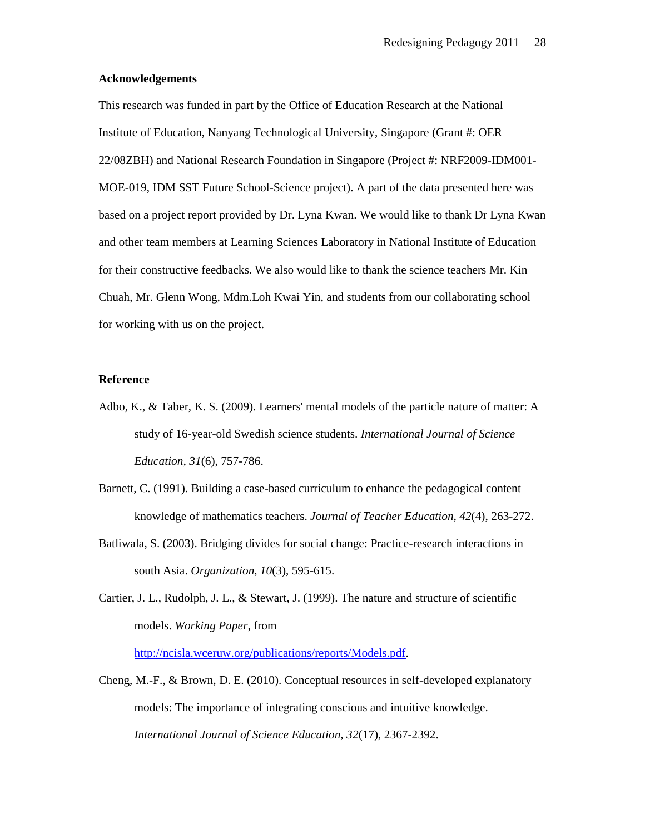## **Acknowledgements**

This research was funded in part by the Office of Education Research at the National Institute of Education, Nanyang Technological University, Singapore (Grant #: OER 22/08ZBH) and National Research Foundation in Singapore (Project #: NRF2009-IDM001- MOE-019, IDM SST Future School-Science project). A part of the data presented here was based on a project report provided by Dr. Lyna Kwan. We would like to thank Dr Lyna Kwan and other team members at Learning Sciences Laboratory in National Institute of Education for their constructive feedbacks. We also would like to thank the science teachers Mr. Kin Chuah, Mr. Glenn Wong, Mdm.Loh Kwai Yin, and students from our collaborating school for working with us on the project.

# **Reference**

- Adbo, K., & Taber, K. S. (2009). Learners' mental models of the particle nature of matter: A study of 16-year-old Swedish science students. *International Journal of Science Education, 31*(6), 757-786.
- Barnett, C. (1991). Building a case-based curriculum to enhance the pedagogical content knowledge of mathematics teachers. *Journal of Teacher Education, 42*(4), 263-272.
- Batliwala, S. (2003). Bridging divides for social change: Practice-research interactions in south Asia. *Organization, 10*(3), 595-615.
- Cartier, J. L., Rudolph, J. L., & Stewart, J. (1999). The nature and structure of scientific models. *Working Paper,* from

http://ncisla.wceruw.org/publications/reports/Models.pdf.

Cheng, M.-F., & Brown, D. E. (2010). Conceptual resources in self-developed explanatory models: The importance of integrating conscious and intuitive knowledge. *International Journal of Science Education, 32*(17), 2367-2392.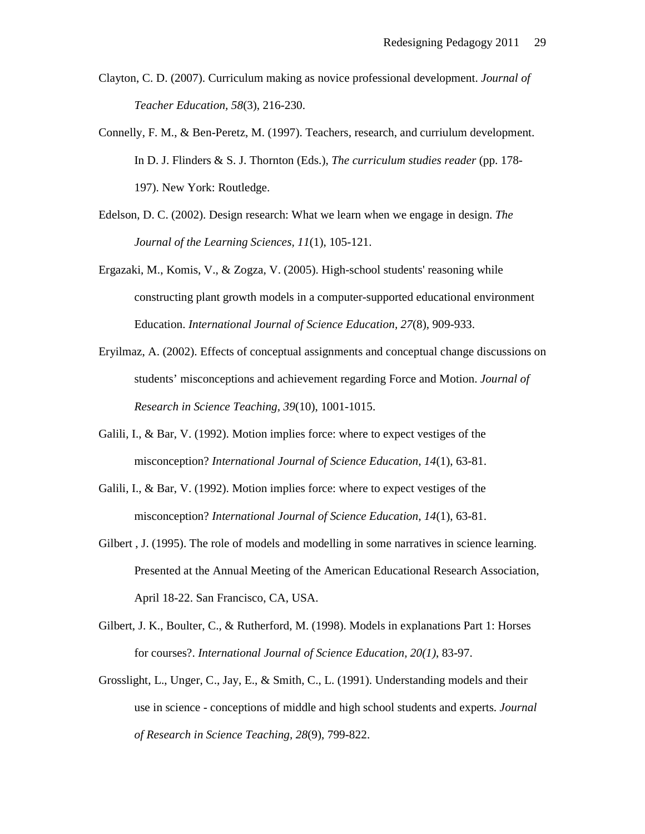- Clayton, C. D. (2007). Curriculum making as novice professional development. *Journal of Teacher Education, 58*(3), 216-230.
- Connelly, F. M., & Ben-Peretz, M. (1997). Teachers, research, and curriulum development. In D. J. Flinders & S. J. Thornton (Eds.), *The curriculum studies reader* (pp. 178- 197). New York: Routledge.
- Edelson, D. C. (2002). Design research: What we learn when we engage in design. *The Journal of the Learning Sciences, 11*(1), 105-121.
- Ergazaki, M., Komis, V., & Zogza, V. (2005). High-school students' reasoning while constructing plant growth models in a computer-supported educational environment Education. *International Journal of Science Education, 27*(8), 909-933.
- Eryilmaz, A. (2002). Effects of conceptual assignments and conceptual change discussions on students' misconceptions and achievement regarding Force and Motion. *Journal of Research in Science Teaching, 39*(10), 1001-1015.
- Galili, I., & Bar, V. (1992). Motion implies force: where to expect vestiges of the misconception? *International Journal of Science Education, 14*(1), 63-81.
- Galili, I., & Bar, V. (1992). Motion implies force: where to expect vestiges of the misconception? *International Journal of Science Education, 14*(1), 63-81.
- Gilbert , J. (1995). The role of models and modelling in some narratives in science learning. Presented at the Annual Meeting of the American Educational Research Association, April 18-22. San Francisco, CA, USA.
- Gilbert, J. K., Boulter, C., & Rutherford, M. (1998). Models in explanations Part 1: Horses for courses?. *International Journal of Science Education, 20(1)*, 83-97.
- Grosslight, L., Unger, C., Jay, E., & Smith, C., L. (1991). Understanding models and their use in science - conceptions of middle and high school students and experts. *Journal of Research in Science Teaching, 28*(9), 799-822.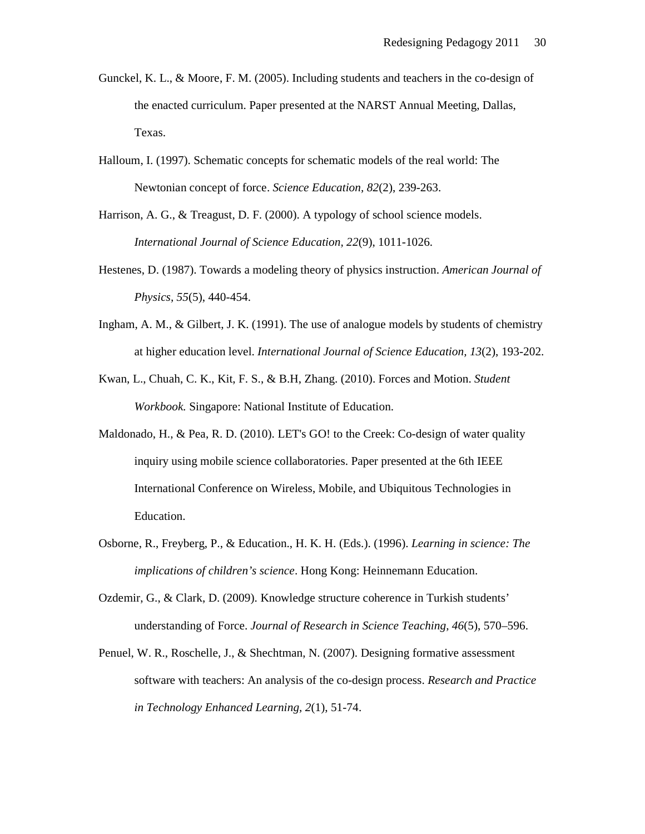- Gunckel, K. L., & Moore, F. M. (2005). Including students and teachers in the co-design of the enacted curriculum. Paper presented at the NARST Annual Meeting, Dallas, Texas.
- Halloum, I. (1997). Schematic concepts for schematic models of the real world: The Newtonian concept of force. *Science Education, 82*(2), 239-263.
- Harrison, A. G., & Treagust, D. F. (2000). A typology of school science models. *International Journal of Science Education, 22*(9), 1011-1026.
- Hestenes, D. (1987). Towards a modeling theory of physics instruction. *American Journal of Physics, 55*(5), 440-454.
- Ingham, A. M., & Gilbert, J. K. (1991). The use of analogue models by students of chemistry at higher education level. *International Journal of Science Education, 13*(2), 193-202.
- Kwan, L., Chuah, C. K., Kit, F. S., & B.H, Zhang. (2010). Forces and Motion. *Student Workbook.* Singapore: National Institute of Education.
- Maldonado, H., & Pea, R. D. (2010). LET's GO! to the Creek: Co-design of water quality inquiry using mobile science collaboratories. Paper presented at the 6th IEEE International Conference on Wireless, Mobile, and Ubiquitous Technologies in Education.
- Osborne, R., Freyberg, P., & Education., H. K. H. (Eds.). (1996). *Learning in science: The implications of children's science*. Hong Kong: Heinnemann Education.
- Ozdemir, G., & Clark, D. (2009). Knowledge structure coherence in Turkish students' understanding of Force. *Journal of Research in Science Teaching, 46*(5), 570–596.
- Penuel, W. R., Roschelle, J., & Shechtman, N. (2007). Designing formative assessment software with teachers: An analysis of the co-design process. *Research and Practice in Technology Enhanced Learning, 2*(1), 51-74.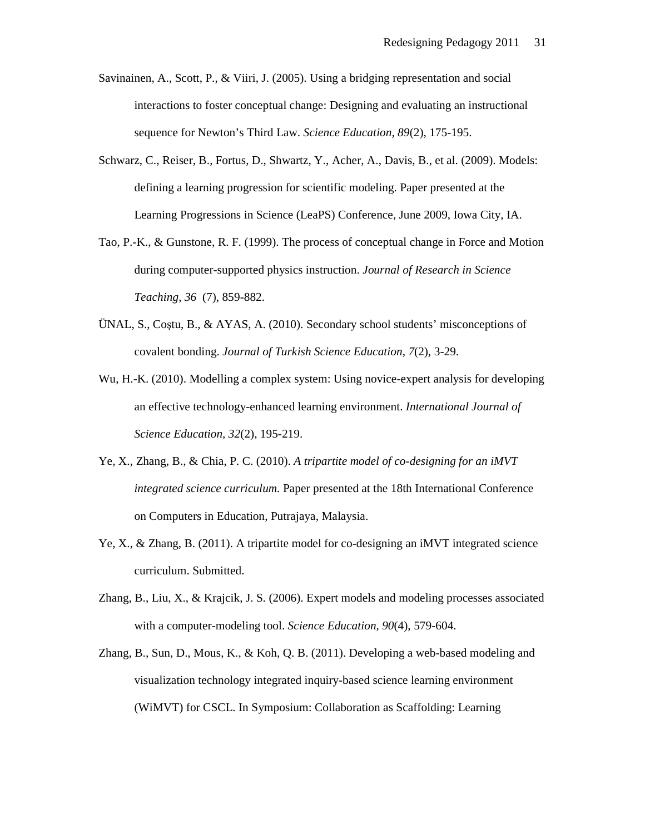- Savinainen, A., Scott, P., & Viiri, J. (2005). Using a bridging representation and social interactions to foster conceptual change: Designing and evaluating an instructional sequence for Newton's Third Law. *Science Education, 89*(2), 175-195.
- Schwarz, C., Reiser, B., Fortus, D., Shwartz, Y., Acher, A., Davis, B., et al. (2009). Models: defining a learning progression for scientific modeling. Paper presented at the Learning Progressions in Science (LeaPS) Conference, June 2009, Iowa City, IA.
- Tao, P.-K., & Gunstone, R. F. (1999). The process of conceptual change in Force and Motion during computer-supported physics instruction. *Journal of Research in Science Teaching, 36* (7), 859-882.
- ÜNAL, S., Coştu, B., & AYAS, A. (2010). Secondary school students' misconceptions of covalent bonding. *Journal of Turkish Science Education, 7*(2), 3-29.
- Wu, H.-K. (2010). Modelling a complex system: Using novice-expert analysis for developing an effective technology-enhanced learning environment. *International Journal of Science Education, 32*(2), 195-219.
- Ye, X., Zhang, B., & Chia, P. C. (2010). *A tripartite model of co-designing for an iMVT integrated science curriculum.* Paper presented at the 18th International Conference on Computers in Education, Putrajaya, Malaysia.
- Ye, X., & Zhang, B. (2011). A tripartite model for co-designing an iMVT integrated science curriculum. Submitted.
- Zhang, B., Liu, X., & Krajcik, J. S. (2006). Expert models and modeling processes associated with a computer-modeling tool. *Science Education, 90*(4), 579-604.
- Zhang, B., Sun, D., Mous, K., & Koh, Q. B. (2011). Developing a web-based modeling and visualization technology integrated inquiry-based science learning environment (WiMVT) for CSCL. In Symposium: Collaboration as Scaffolding: Learning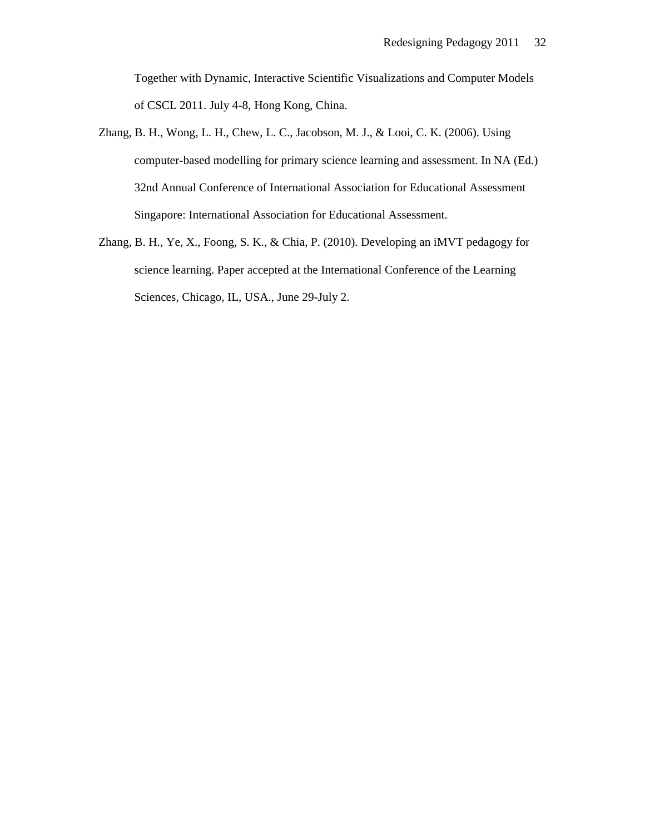Together with Dynamic, Interactive Scientific Visualizations and Computer Models of CSCL 2011. July 4-8, Hong Kong, China.

- Zhang, B. H., Wong, L. H., Chew, L. C., Jacobson, M. J., & Looi, C. K. (2006). Using computer-based modelling for primary science learning and assessment. In NA (Ed.) 32nd Annual Conference of International Association for Educational Assessment Singapore: International Association for Educational Assessment.
- Zhang, B. H., Ye, X., Foong, S. K., & Chia, P. (2010). Developing an iMVT pedagogy for science learning. Paper accepted at the International Conference of the Learning Sciences, Chicago, IL, USA., June 29-July 2.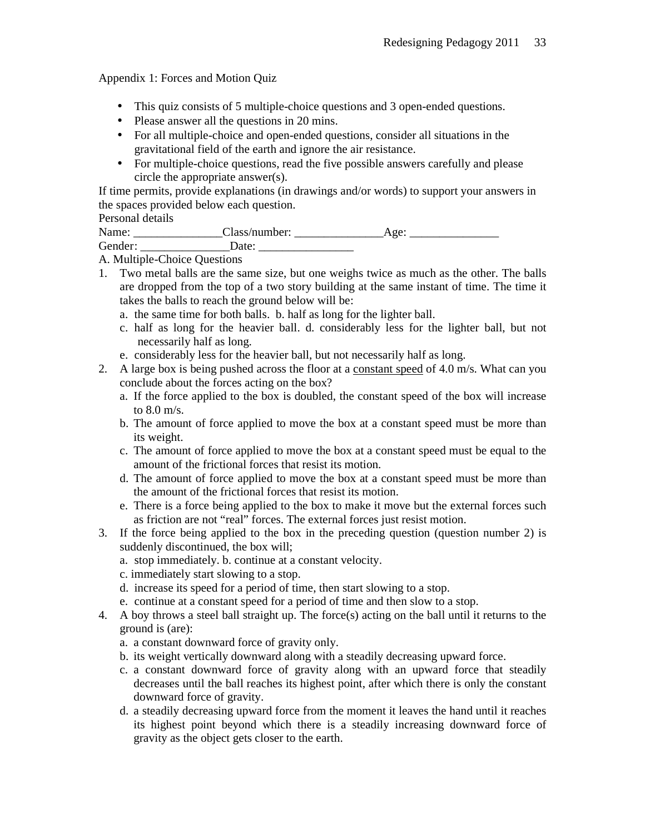Appendix 1: Forces and Motion Quiz

- This quiz consists of 5 multiple-choice questions and 3 open-ended questions.
- Please answer all the questions in 20 mins.
- For all multiple-choice and open-ended questions, consider all situations in the gravitational field of the earth and ignore the air resistance.
- For multiple-choice questions, read the five possible answers carefully and please circle the appropriate answer(s).

If time permits, provide explanations (in drawings and/or words) to support your answers in the spaces provided below each question.

# Personal details

| Name:   | Class/number: | $A$ $\sigma$ $e^{\tau}$ |
|---------|---------------|-------------------------|
| Gender: | Jate:         |                         |

A. Multiple-Choice Questions

- 1. Two metal balls are the same size, but one weighs twice as much as the other. The balls are dropped from the top of a two story building at the same instant of time. The time it takes the balls to reach the ground below will be:
	- a. the same time for both balls. b. half as long for the lighter ball.
	- c. half as long for the heavier ball. d. considerably less for the lighter ball, but not necessarily half as long.
	- e. considerably less for the heavier ball, but not necessarily half as long.
- 2. A large box is being pushed across the floor at a constant speed of 4.0 m/s. What can you conclude about the forces acting on the box?
	- a. If the force applied to the box is doubled, the constant speed of the box will increase to 8.0 m/s.
	- b. The amount of force applied to move the box at a constant speed must be more than its weight.
	- c. The amount of force applied to move the box at a constant speed must be equal to the amount of the frictional forces that resist its motion.
	- d. The amount of force applied to move the box at a constant speed must be more than the amount of the frictional forces that resist its motion.
	- e. There is a force being applied to the box to make it move but the external forces such as friction are not "real" forces. The external forces just resist motion.
- 3. If the force being applied to the box in the preceding question (question number 2) is suddenly discontinued, the box will;
	- a. stop immediately. b. continue at a constant velocity.
	- c. immediately start slowing to a stop.
	- d. increase its speed for a period of time, then start slowing to a stop.
	- e. continue at a constant speed for a period of time and then slow to a stop.
- 4. A boy throws a steel ball straight up. The force(s) acting on the ball until it returns to the ground is (are):
	- a. a constant downward force of gravity only.
	- b. its weight vertically downward along with a steadily decreasing upward force.
	- c. a constant downward force of gravity along with an upward force that steadily decreases until the ball reaches its highest point, after which there is only the constant downward force of gravity.
	- d. a steadily decreasing upward force from the moment it leaves the hand until it reaches its highest point beyond which there is a steadily increasing downward force of gravity as the object gets closer to the earth.